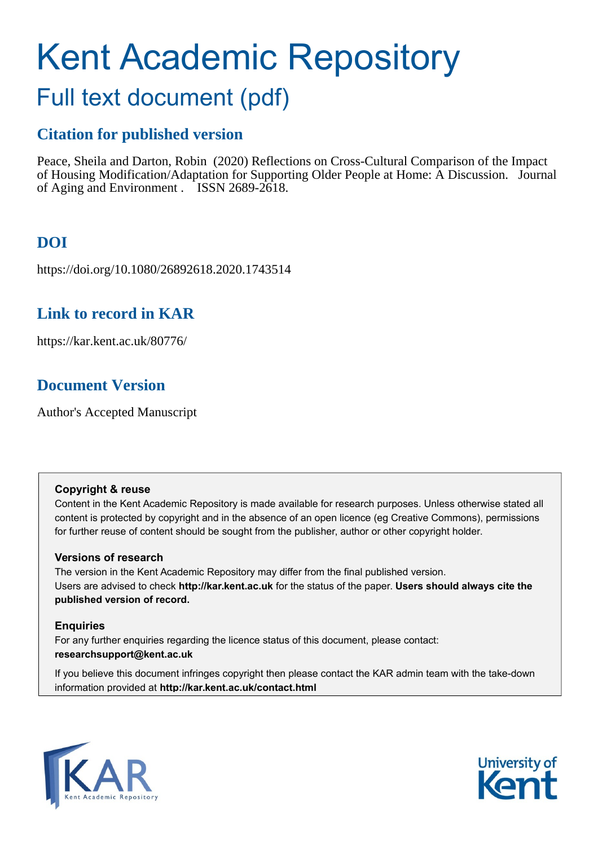# Kent Academic Repository

## Full text document (pdf)

## **Citation for published version**

Peace, Sheila and Darton, Robin (2020) Reflections on Cross-Cultural Comparison of the Impact of Housing Modification/Adaptation for Supporting Older People at Home: A Discussion. Journal of Aging and Environment . ISSN 2689-2618.

## **DOI**

https://doi.org/10.1080/26892618.2020.1743514

### **Link to record in KAR**

https://kar.kent.ac.uk/80776/

## **Document Version**

Author's Accepted Manuscript

#### **Copyright & reuse**

Content in the Kent Academic Repository is made available for research purposes. Unless otherwise stated all content is protected by copyright and in the absence of an open licence (eg Creative Commons), permissions for further reuse of content should be sought from the publisher, author or other copyright holder.

#### **Versions of research**

The version in the Kent Academic Repository may differ from the final published version. Users are advised to check **http://kar.kent.ac.uk** for the status of the paper. **Users should always cite the published version of record.**

#### **Enquiries**

For any further enquiries regarding the licence status of this document, please contact: **researchsupport@kent.ac.uk**

If you believe this document infringes copyright then please contact the KAR admin team with the take-down information provided at **http://kar.kent.ac.uk/contact.html**



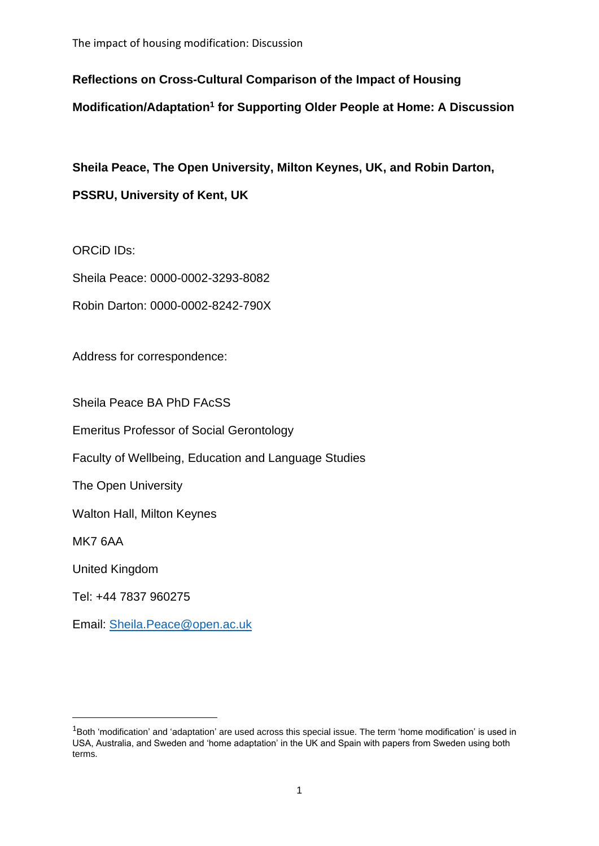**Reflections on Cross-Cultural Comparison of the Impact of Housing** 

**Modification/Adaptation<sup>1</sup> for Supporting Older People at Home: A Discussion**

**Sheila Peace, The Open University, Milton Keynes, UK, and Robin Darton, PSSRU, University of Kent, UK**

ORCiD IDs:

Sheila Peace: 0000-0002-3293-8082

Robin Darton: 0000-0002-8242-790X

Address for correspondence:

Sheila Peace BA PhD FAcSS

Emeritus Professor of Social Gerontology

Faculty of Wellbeing, Education and Language Studies

The Open University

Walton Hall, Milton Keynes

MK7 6AA

United Kingdom

Tel: +44 7837 960275

Email: [Sheila.Peace@open.ac.uk](mailto:Sheila.Peace@open.ac.uk)

 $1$ Both 'modification' and 'adaptation' are used across this special issue. The term 'home modification' is used in USA, Australia, and Sweden and 'home adaptation' in the UK and Spain with papers from Sweden using both terms.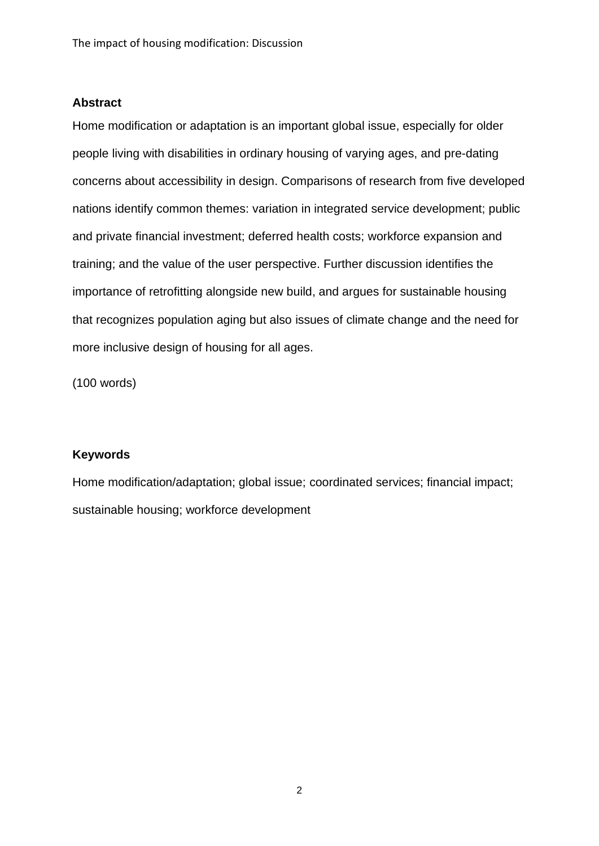#### **Abstract**

Home modification or adaptation is an important global issue, especially for older people living with disabilities in ordinary housing of varying ages, and pre-dating concerns about accessibility in design. Comparisons of research from five developed nations identify common themes: variation in integrated service development; public and private financial investment; deferred health costs; workforce expansion and training; and the value of the user perspective. Further discussion identifies the importance of retrofitting alongside new build, and argues for sustainable housing that recognizes population aging but also issues of climate change and the need for more inclusive design of housing for all ages.

(100 words)

#### **Keywords**

Home modification/adaptation; global issue; coordinated services; financial impact; sustainable housing; workforce development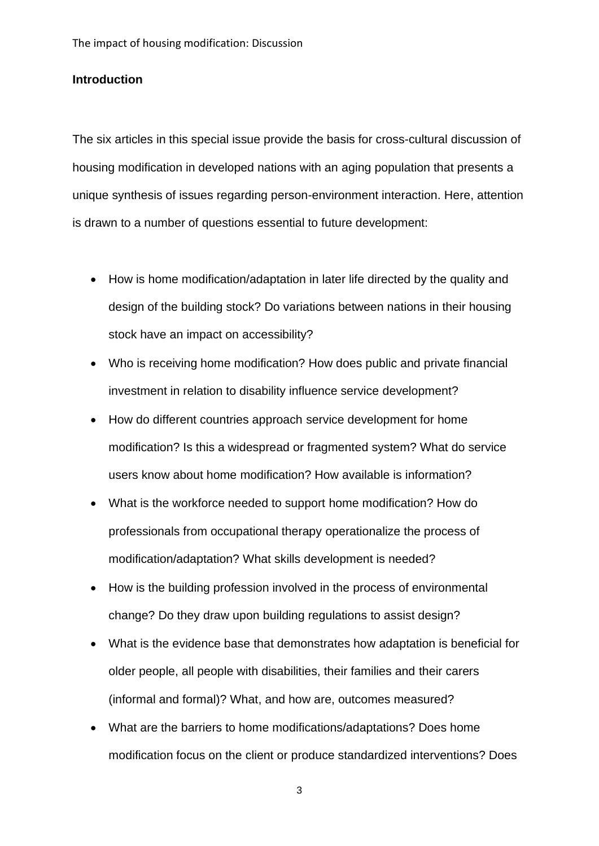#### **Introduction**

The six articles in this special issue provide the basis for cross-cultural discussion of housing modification in developed nations with an aging population that presents a unique synthesis of issues regarding person-environment interaction. Here, attention is drawn to a number of questions essential to future development:

- How is home modification/adaptation in later life directed by the quality and design of the building stock? Do variations between nations in their housing stock have an impact on accessibility?
- Who is receiving home modification? How does public and private financial investment in relation to disability influence service development?
- How do different countries approach service development for home modification? Is this a widespread or fragmented system? What do service users know about home modification? How available is information?
- What is the workforce needed to support home modification? How do professionals from occupational therapy operationalize the process of modification/adaptation? What skills development is needed?
- How is the building profession involved in the process of environmental change? Do they draw upon building regulations to assist design?
- What is the evidence base that demonstrates how adaptation is beneficial for older people, all people with disabilities, their families and their carers (informal and formal)? What, and how are, outcomes measured?
- What are the barriers to home modifications/adaptations? Does home modification focus on the client or produce standardized interventions? Does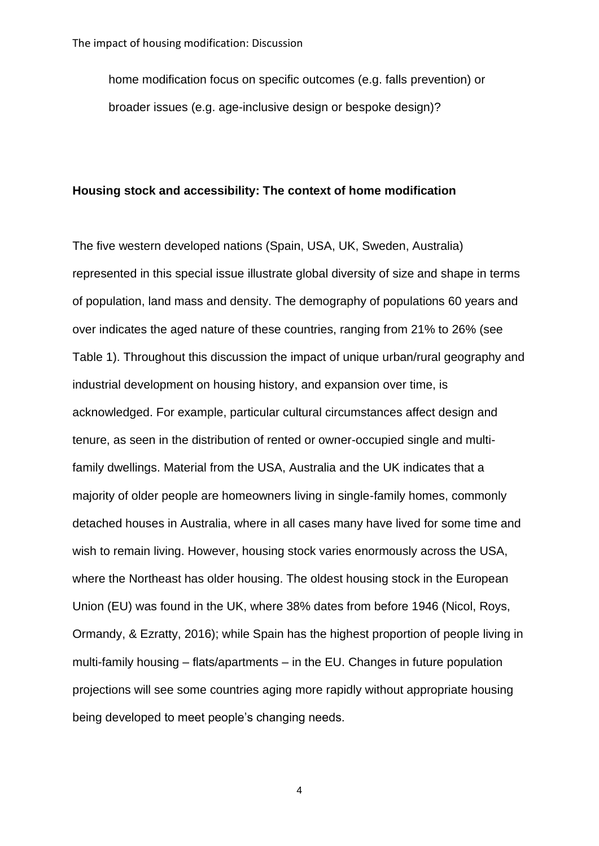home modification focus on specific outcomes (e.g. falls prevention) or broader issues (e.g. age-inclusive design or bespoke design)?

#### **Housing stock and accessibility: The context of home modification**

The five western developed nations (Spain, USA, UK, Sweden, Australia) represented in this special issue illustrate global diversity of size and shape in terms of population, land mass and density. The demography of populations 60 years and over indicates the aged nature of these countries, ranging from 21% to 26% (see Table 1). Throughout this discussion the impact of unique urban/rural geography and industrial development on housing history, and expansion over time, is acknowledged. For example, particular cultural circumstances affect design and tenure, as seen in the distribution of rented or owner-occupied single and multifamily dwellings. Material from the USA, Australia and the UK indicates that a majority of older people are homeowners living in single-family homes, commonly detached houses in Australia, where in all cases many have lived for some time and wish to remain living. However, housing stock varies enormously across the USA, where the Northeast has older housing. The oldest housing stock in the European Union (EU) was found in the UK, where 38% dates from before 1946 (Nicol, Roys, Ormandy, & Ezratty, 2016); while Spain has the highest proportion of people living in multi-family housing – flats/apartments – in the EU. Changes in future population projections will see some countries aging more rapidly without appropriate housing being developed to meet people's changing needs.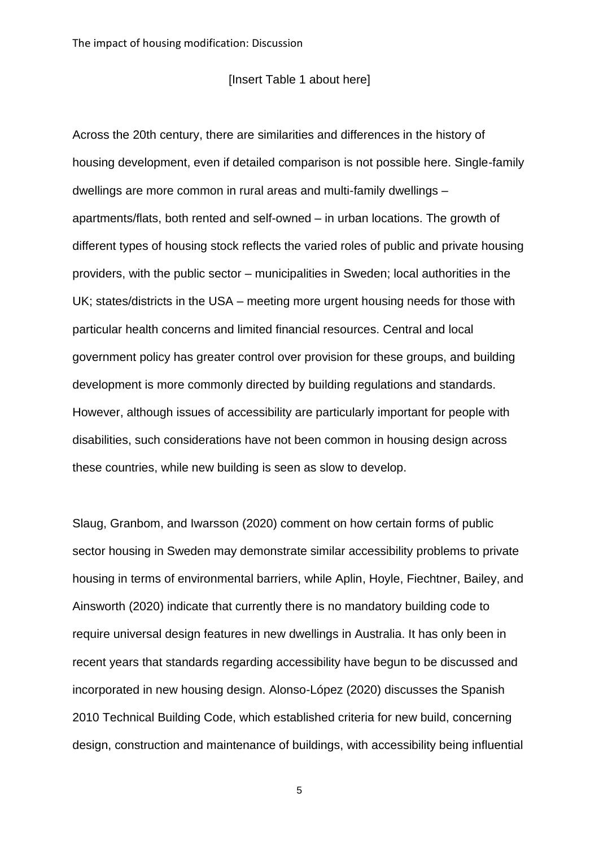#### [Insert Table 1 about here]

Across the 20th century, there are similarities and differences in the history of housing development, even if detailed comparison is not possible here. Single-family dwellings are more common in rural areas and multi-family dwellings – apartments/flats, both rented and self-owned – in urban locations. The growth of different types of housing stock reflects the varied roles of public and private housing providers, with the public sector – municipalities in Sweden; local authorities in the UK; states/districts in the USA – meeting more urgent housing needs for those with particular health concerns and limited financial resources. Central and local government policy has greater control over provision for these groups, and building development is more commonly directed by building regulations and standards. However, although issues of accessibility are particularly important for people with disabilities, such considerations have not been common in housing design across these countries, while new building is seen as slow to develop.

Slaug, Granbom, and Iwarsson (2020) comment on how certain forms of public sector housing in Sweden may demonstrate similar accessibility problems to private housing in terms of environmental barriers, while Aplin, Hoyle, Fiechtner, Bailey, and Ainsworth (2020) indicate that currently there is no mandatory building code to require universal design features in new dwellings in Australia. It has only been in recent years that standards regarding accessibility have begun to be discussed and incorporated in new housing design. Alonso-López (2020) discusses the Spanish 2010 Technical Building Code, which established criteria for new build, concerning design, construction and maintenance of buildings, with accessibility being influential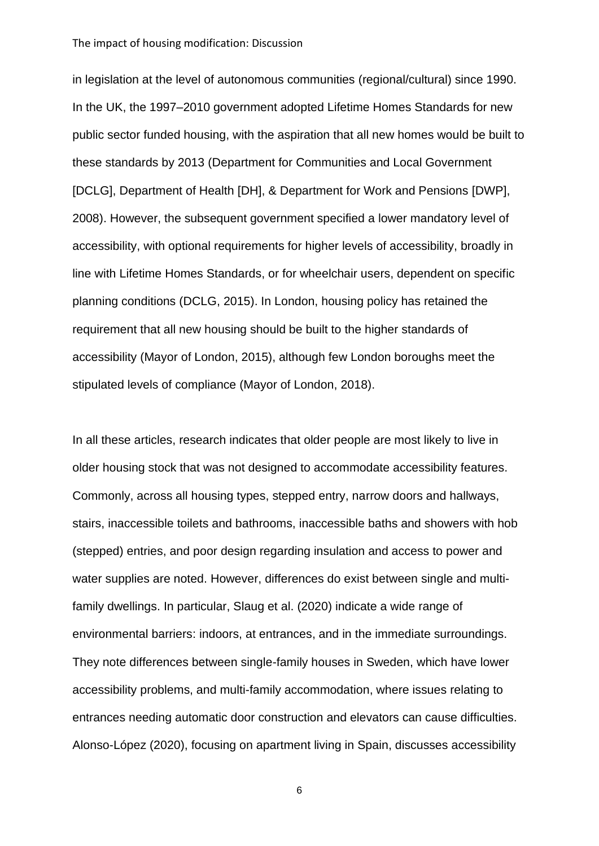in legislation at the level of autonomous communities (regional/cultural) since 1990. In the UK, the 1997–2010 government adopted Lifetime Homes Standards for new public sector funded housing, with the aspiration that all new homes would be built to these standards by 2013 (Department for Communities and Local Government [DCLG], Department of Health [DH], & Department for Work and Pensions [DWP], 2008). However, the subsequent government specified a lower mandatory level of accessibility, with optional requirements for higher levels of accessibility, broadly in line with Lifetime Homes Standards, or for wheelchair users, dependent on specific planning conditions (DCLG, 2015). In London, housing policy has retained the requirement that all new housing should be built to the higher standards of accessibility (Mayor of London, 2015), although few London boroughs meet the stipulated levels of compliance (Mayor of London, 2018).

In all these articles, research indicates that older people are most likely to live in older housing stock that was not designed to accommodate accessibility features. Commonly, across all housing types, stepped entry, narrow doors and hallways, stairs, inaccessible toilets and bathrooms, inaccessible baths and showers with hob (stepped) entries, and poor design regarding insulation and access to power and water supplies are noted. However, differences do exist between single and multifamily dwellings. In particular, Slaug et al. (2020) indicate a wide range of environmental barriers: indoors, at entrances, and in the immediate surroundings. They note differences between single-family houses in Sweden, which have lower accessibility problems, and multi-family accommodation, where issues relating to entrances needing automatic door construction and elevators can cause difficulties. Alonso-López (2020), focusing on apartment living in Spain, discusses accessibility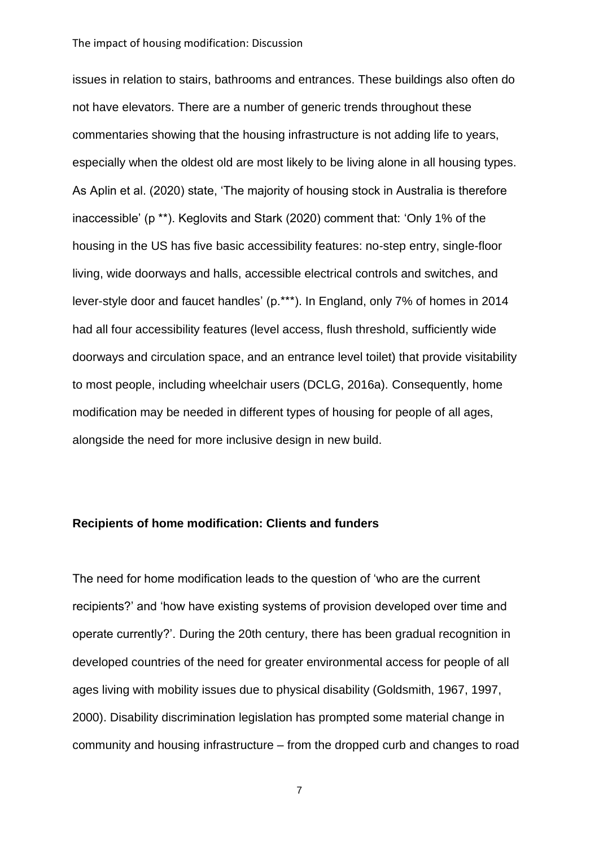issues in relation to stairs, bathrooms and entrances. These buildings also often do not have elevators. There are a number of generic trends throughout these commentaries showing that the housing infrastructure is not adding life to years, especially when the oldest old are most likely to be living alone in all housing types. As Aplin et al. (2020) state, 'The majority of housing stock in Australia is therefore inaccessible' (p \*\*). Keglovits and Stark (2020) comment that: 'Only 1% of the housing in the US has five basic accessibility features: no-step entry, single-floor living, wide doorways and halls, accessible electrical controls and switches, and lever-style door and faucet handles' (p.\*\*\*). In England, only 7% of homes in 2014 had all four accessibility features (level access, flush threshold, sufficiently wide doorways and circulation space, and an entrance level toilet) that provide visitability to most people, including wheelchair users (DCLG, 2016a). Consequently, home modification may be needed in different types of housing for people of all ages, alongside the need for more inclusive design in new build.

#### **Recipients of home modification: Clients and funders**

The need for home modification leads to the question of 'who are the current recipients?' and 'how have existing systems of provision developed over time and operate currently?'. During the 20th century, there has been gradual recognition in developed countries of the need for greater environmental access for people of all ages living with mobility issues due to physical disability (Goldsmith, 1967, 1997, 2000). Disability discrimination legislation has prompted some material change in community and housing infrastructure – from the dropped curb and changes to road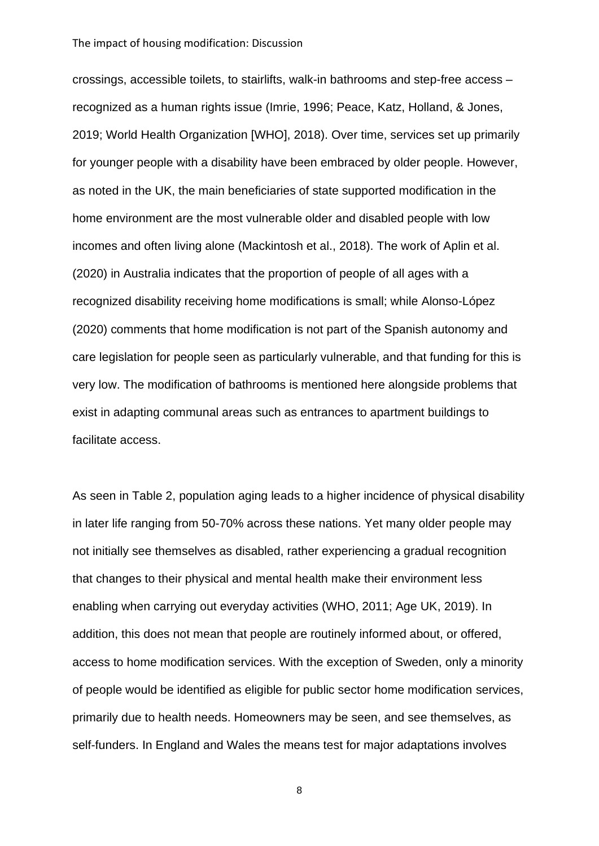crossings, accessible toilets, to stairlifts, walk-in bathrooms and step-free access – recognized as a human rights issue (Imrie, 1996; Peace, Katz, Holland, & Jones, 2019; World Health Organization [WHO], 2018). Over time, services set up primarily for younger people with a disability have been embraced by older people. However, as noted in the UK, the main beneficiaries of state supported modification in the home environment are the most vulnerable older and disabled people with low incomes and often living alone (Mackintosh et al., 2018). The work of Aplin et al. (2020) in Australia indicates that the proportion of people of all ages with a recognized disability receiving home modifications is small; while Alonso-López (2020) comments that home modification is not part of the Spanish autonomy and care legislation for people seen as particularly vulnerable, and that funding for this is very low. The modification of bathrooms is mentioned here alongside problems that exist in adapting communal areas such as entrances to apartment buildings to facilitate access.

As seen in Table 2, population aging leads to a higher incidence of physical disability in later life ranging from 50-70% across these nations. Yet many older people may not initially see themselves as disabled, rather experiencing a gradual recognition that changes to their physical and mental health make their environment less enabling when carrying out everyday activities (WHO, 2011; Age UK, 2019). In addition, this does not mean that people are routinely informed about, or offered, access to home modification services. With the exception of Sweden, only a minority of people would be identified as eligible for public sector home modification services, primarily due to health needs. Homeowners may be seen, and see themselves, as self-funders. In England and Wales the means test for major adaptations involves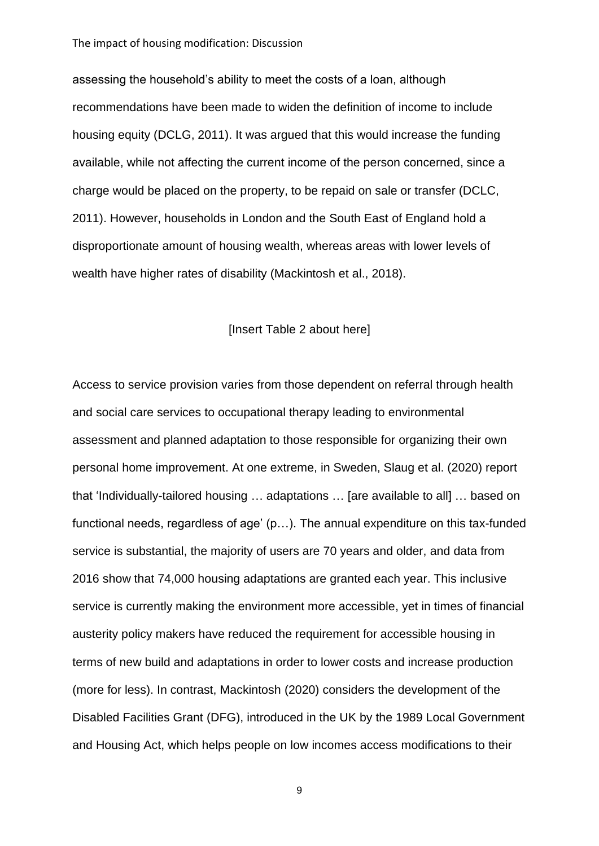assessing the household's ability to meet the costs of a loan, although recommendations have been made to widen the definition of income to include housing equity (DCLG, 2011). It was argued that this would increase the funding available, while not affecting the current income of the person concerned, since a charge would be placed on the property, to be repaid on sale or transfer (DCLC, 2011). However, households in London and the South East of England hold a disproportionate amount of housing wealth, whereas areas with lower levels of wealth have higher rates of disability (Mackintosh et al., 2018).

#### [Insert Table 2 about here]

Access to service provision varies from those dependent on referral through health and social care services to occupational therapy leading to environmental assessment and planned adaptation to those responsible for organizing their own personal home improvement. At one extreme, in Sweden, Slaug et al. (2020) report that 'Individually-tailored housing … adaptations … [are available to all] … based on functional needs, regardless of age' (p…). The annual expenditure on this tax-funded service is substantial, the majority of users are 70 years and older, and data from 2016 show that 74,000 housing adaptations are granted each year. This inclusive service is currently making the environment more accessible, yet in times of financial austerity policy makers have reduced the requirement for accessible housing in terms of new build and adaptations in order to lower costs and increase production (more for less). In contrast, Mackintosh (2020) considers the development of the Disabled Facilities Grant (DFG), introduced in the UK by the 1989 Local Government and Housing Act, which helps people on low incomes access modifications to their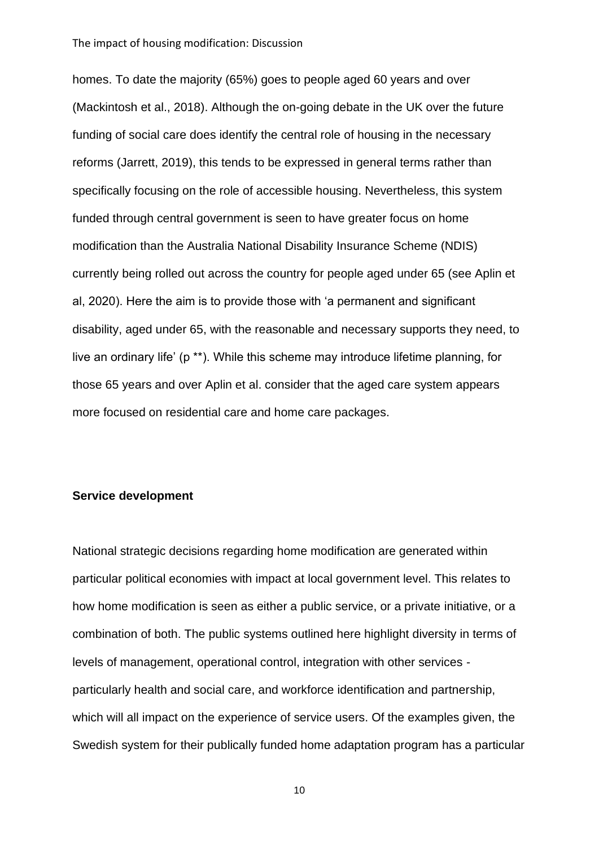homes. To date the majority (65%) goes to people aged 60 years and over (Mackintosh et al., 2018). Although the on-going debate in the UK over the future funding of social care does identify the central role of housing in the necessary reforms (Jarrett, 2019), this tends to be expressed in general terms rather than specifically focusing on the role of accessible housing. Nevertheless, this system funded through central government is seen to have greater focus on home modification than the Australia National Disability Insurance Scheme (NDIS) currently being rolled out across the country for people aged under 65 (see Aplin et al, 2020). Here the aim is to provide those with 'a permanent and significant disability, aged under 65, with the reasonable and necessary supports they need, to live an ordinary life' (p \*\*). While this scheme may introduce lifetime planning, for those 65 years and over Aplin et al. consider that the aged care system appears more focused on residential care and home care packages.

#### **Service development**

National strategic decisions regarding home modification are generated within particular political economies with impact at local government level. This relates to how home modification is seen as either a public service, or a private initiative, or a combination of both. The public systems outlined here highlight diversity in terms of levels of management, operational control, integration with other services particularly health and social care, and workforce identification and partnership, which will all impact on the experience of service users. Of the examples given, the Swedish system for their publically funded home adaptation program has a particular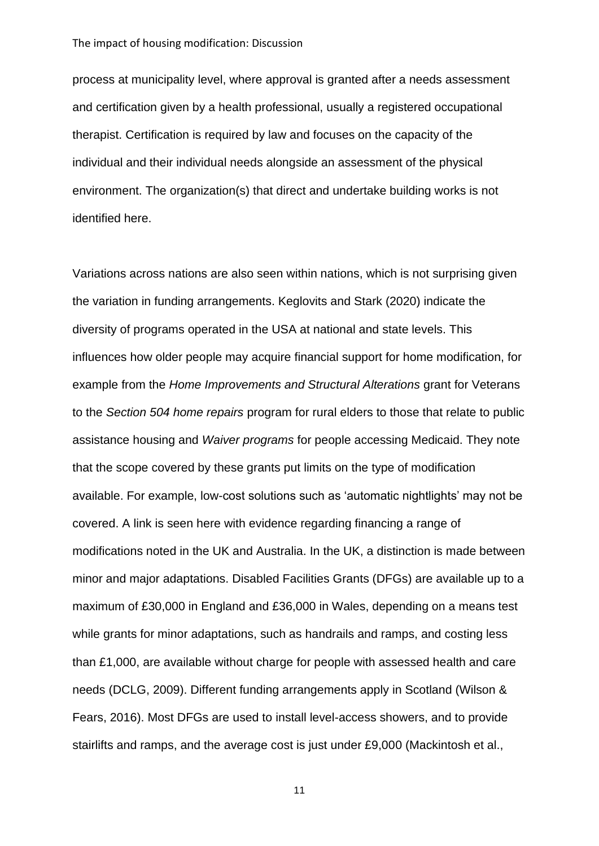process at municipality level, where approval is granted after a needs assessment and certification given by a health professional, usually a registered occupational therapist. Certification is required by law and focuses on the capacity of the individual and their individual needs alongside an assessment of the physical environment. The organization(s) that direct and undertake building works is not identified here.

Variations across nations are also seen within nations, which is not surprising given the variation in funding arrangements. Keglovits and Stark (2020) indicate the diversity of programs operated in the USA at national and state levels. This influences how older people may acquire financial support for home modification, for example from the *Home Improvements and Structural Alterations* grant for Veterans to the *Section 504 home repairs* program for rural elders to those that relate to public assistance housing and *Waiver programs* for people accessing Medicaid. They note that the scope covered by these grants put limits on the type of modification available. For example, low-cost solutions such as 'automatic nightlights' may not be covered. A link is seen here with evidence regarding financing a range of modifications noted in the UK and Australia. In the UK, a distinction is made between minor and major adaptations. Disabled Facilities Grants (DFGs) are available up to a maximum of £30,000 in England and £36,000 in Wales, depending on a means test while grants for minor adaptations, such as handrails and ramps, and costing less than £1,000, are available without charge for people with assessed health and care needs (DCLG, 2009). Different funding arrangements apply in Scotland (Wilson & Fears, 2016). Most DFGs are used to install level-access showers, and to provide stairlifts and ramps, and the average cost is just under £9,000 (Mackintosh et al.,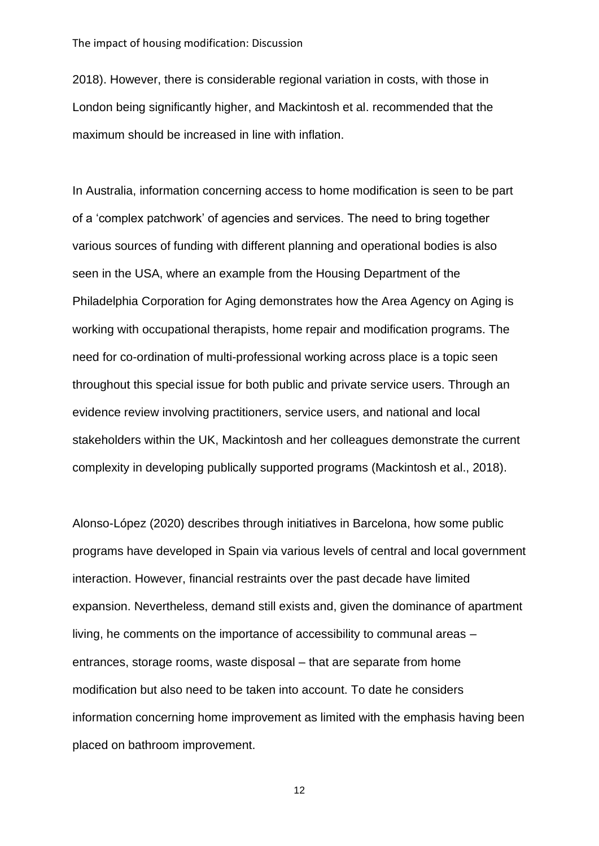2018). However, there is considerable regional variation in costs, with those in London being significantly higher, and Mackintosh et al. recommended that the maximum should be increased in line with inflation.

In Australia, information concerning access to home modification is seen to be part of a 'complex patchwork' of agencies and services. The need to bring together various sources of funding with different planning and operational bodies is also seen in the USA, where an example from the Housing Department of the Philadelphia Corporation for Aging demonstrates how the Area Agency on Aging is working with occupational therapists, home repair and modification programs. The need for co-ordination of multi-professional working across place is a topic seen throughout this special issue for both public and private service users. Through an evidence review involving practitioners, service users, and national and local stakeholders within the UK, Mackintosh and her colleagues demonstrate the current complexity in developing publically supported programs (Mackintosh et al., 2018).

Alonso-López (2020) describes through initiatives in Barcelona, how some public programs have developed in Spain via various levels of central and local government interaction. However, financial restraints over the past decade have limited expansion. Nevertheless, demand still exists and, given the dominance of apartment living, he comments on the importance of accessibility to communal areas – entrances, storage rooms, waste disposal – that are separate from home modification but also need to be taken into account. To date he considers information concerning home improvement as limited with the emphasis having been placed on bathroom improvement.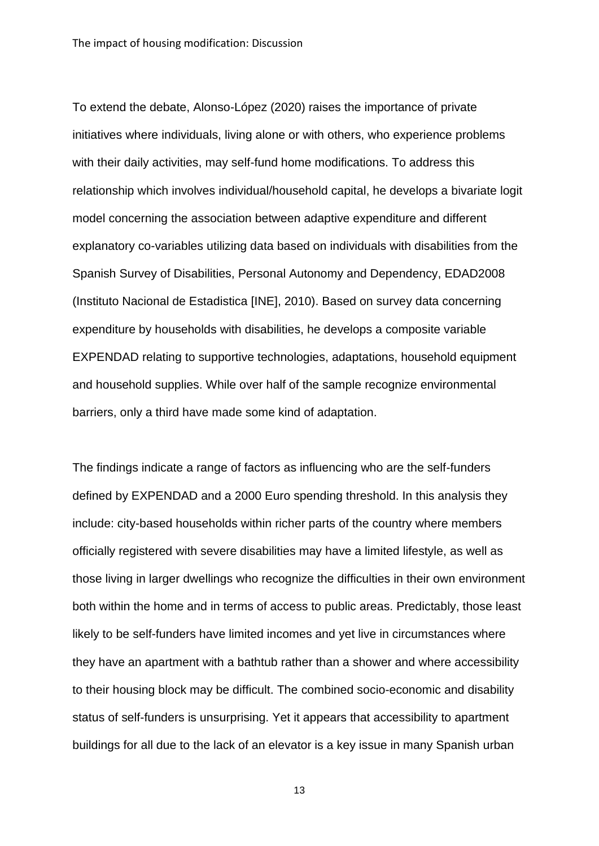To extend the debate, Alonso-López (2020) raises the importance of private initiatives where individuals, living alone or with others, who experience problems with their daily activities, may self-fund home modifications. To address this relationship which involves individual/household capital, he develops a bivariate logit model concerning the association between adaptive expenditure and different explanatory co-variables utilizing data based on individuals with disabilities from the Spanish Survey of Disabilities, Personal Autonomy and Dependency, EDAD2008 (Instituto Nacional de Estadistica [INE], 2010). Based on survey data concerning expenditure by households with disabilities, he develops a composite variable EXPENDAD relating to supportive technologies, adaptations, household equipment and household supplies. While over half of the sample recognize environmental barriers, only a third have made some kind of adaptation.

The findings indicate a range of factors as influencing who are the self-funders defined by EXPENDAD and a 2000 Euro spending threshold. In this analysis they include: city-based households within richer parts of the country where members officially registered with severe disabilities may have a limited lifestyle, as well as those living in larger dwellings who recognize the difficulties in their own environment both within the home and in terms of access to public areas. Predictably, those least likely to be self-funders have limited incomes and yet live in circumstances where they have an apartment with a bathtub rather than a shower and where accessibility to their housing block may be difficult. The combined socio-economic and disability status of self-funders is unsurprising. Yet it appears that accessibility to apartment buildings for all due to the lack of an elevator is a key issue in many Spanish urban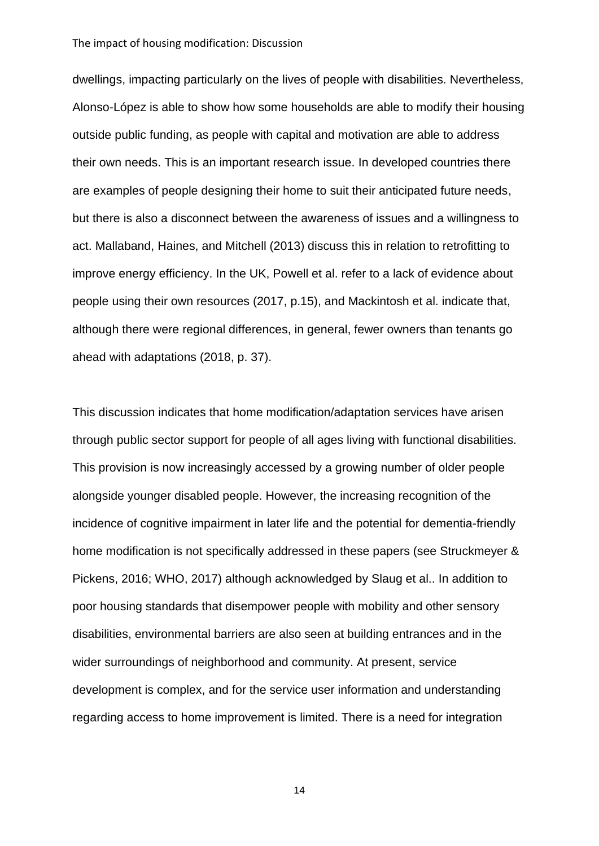dwellings, impacting particularly on the lives of people with disabilities. Nevertheless, Alonso-López is able to show how some households are able to modify their housing outside public funding, as people with capital and motivation are able to address their own needs. This is an important research issue. In developed countries there are examples of people designing their home to suit their anticipated future needs, but there is also a disconnect between the awareness of issues and a willingness to act. Mallaband, Haines, and Mitchell (2013) discuss this in relation to retrofitting to improve energy efficiency. In the UK, Powell et al. refer to a lack of evidence about people using their own resources (2017, p.15), and Mackintosh et al. indicate that, although there were regional differences, in general, fewer owners than tenants go ahead with adaptations (2018, p. 37).

This discussion indicates that home modification/adaptation services have arisen through public sector support for people of all ages living with functional disabilities. This provision is now increasingly accessed by a growing number of older people alongside younger disabled people. However, the increasing recognition of the incidence of cognitive impairment in later life and the potential for dementia-friendly home modification is not specifically addressed in these papers (see Struckmeyer & Pickens, 2016; WHO, 2017) although acknowledged by Slaug et al.. In addition to poor housing standards that disempower people with mobility and other sensory disabilities, environmental barriers are also seen at building entrances and in the wider surroundings of neighborhood and community. At present, service development is complex, and for the service user information and understanding regarding access to home improvement is limited. There is a need for integration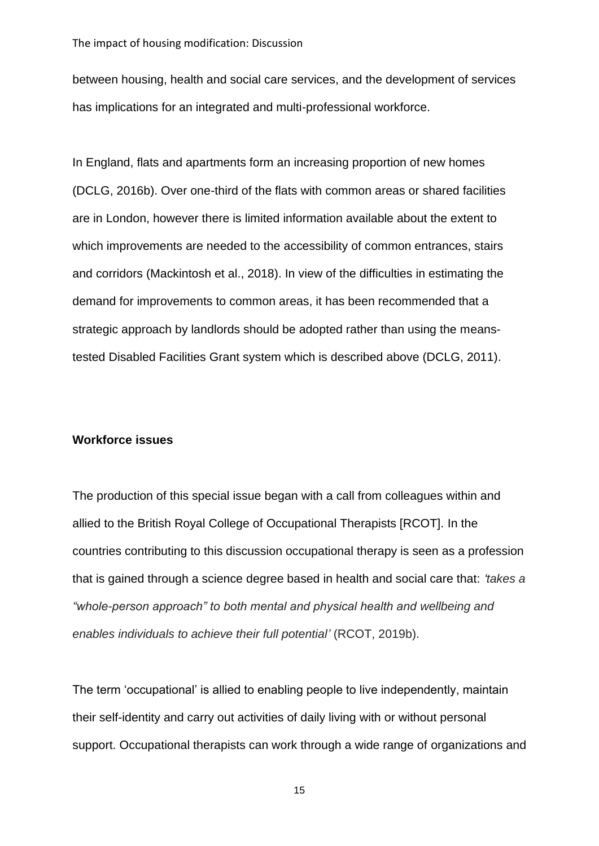between housing, health and social care services, and the development of services has implications for an integrated and multi-professional workforce.

In England, flats and apartments form an increasing proportion of new homes (DCLG, 2016b). Over one-third of the flats with common areas or shared facilities are in London, however there is limited information available about the extent to which improvements are needed to the accessibility of common entrances, stairs and corridors (Mackintosh et al., 2018). In view of the difficulties in estimating the demand for improvements to common areas, it has been recommended that a strategic approach by landlords should be adopted rather than using the meanstested Disabled Facilities Grant system which is described above (DCLG, 2011).

#### **Workforce issues**

The production of this special issue began with a call from colleagues within and allied to the British Royal College of Occupational Therapists [RCOT]. In the countries contributing to this discussion occupational therapy is seen as a profession that is gained through a science degree based in health and social care that: *'takes a "whole-person approach" to both mental and physical health and wellbeing and enables individuals to achieve their full potential'* (RCOT, 2019b).

The term 'occupational' is allied to enabling people to live independently, maintain their self-identity and carry out activities of daily living with or without personal support. Occupational therapists can work through a wide range of organizations and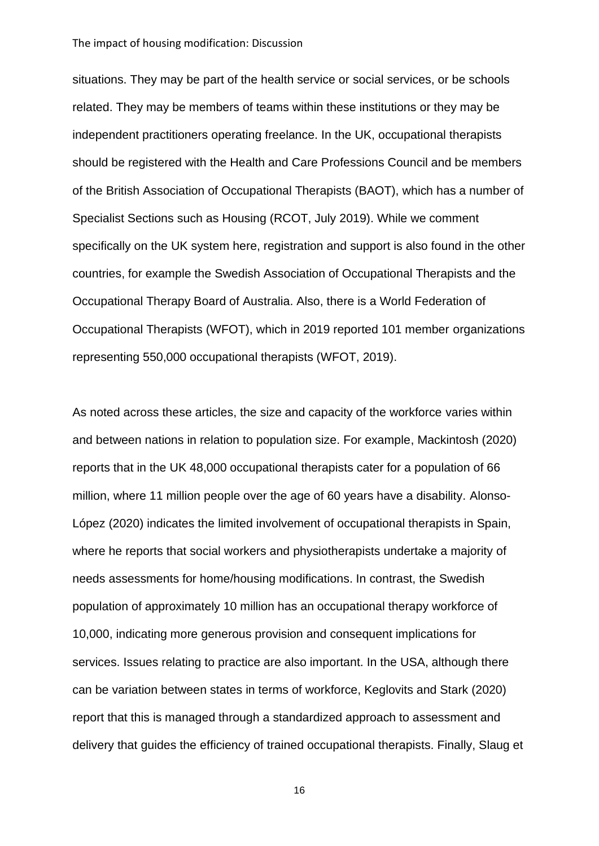situations. They may be part of the health service or social services, or be schools related. They may be members of teams within these institutions or they may be independent practitioners operating freelance. In the UK, occupational therapists should be registered with the Health and Care Professions Council and be members of the British Association of Occupational Therapists (BAOT), which has a number of Specialist Sections such as Housing (RCOT, July 2019). While we comment specifically on the UK system here, registration and support is also found in the other countries, for example the Swedish Association of Occupational Therapists and the Occupational Therapy Board of Australia. Also, there is a World Federation of Occupational Therapists (WFOT), which in 2019 reported 101 member organizations representing 550,000 occupational therapists (WFOT, 2019).

As noted across these articles, the size and capacity of the workforce varies within and between nations in relation to population size. For example, Mackintosh (2020) reports that in the UK 48,000 occupational therapists cater for a population of 66 million, where 11 million people over the age of 60 years have a disability. Alonso-López (2020) indicates the limited involvement of occupational therapists in Spain, where he reports that social workers and physiotherapists undertake a majority of needs assessments for home/housing modifications. In contrast, the Swedish population of approximately 10 million has an occupational therapy workforce of 10,000, indicating more generous provision and consequent implications for services. Issues relating to practice are also important. In the USA, although there can be variation between states in terms of workforce, Keglovits and Stark (2020) report that this is managed through a standardized approach to assessment and delivery that guides the efficiency of trained occupational therapists. Finally, Slaug et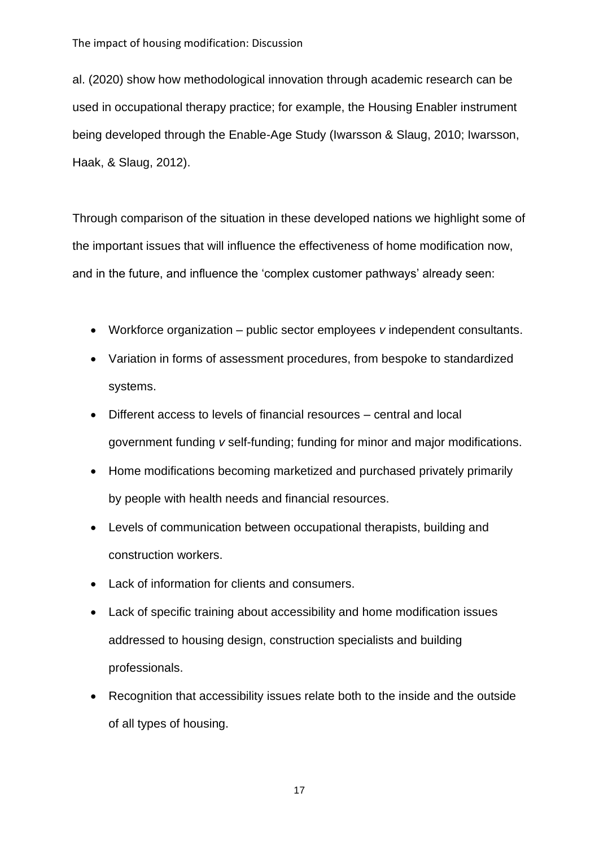al. (2020) show how methodological innovation through academic research can be used in occupational therapy practice; for example, the Housing Enabler instrument being developed through the Enable-Age Study (Iwarsson & Slaug, 2010; Iwarsson, Haak, & Slaug, 2012).

Through comparison of the situation in these developed nations we highlight some of the important issues that will influence the effectiveness of home modification now, and in the future, and influence the 'complex customer pathways' already seen:

- Workforce organization public sector employees *v* independent consultants.
- Variation in forms of assessment procedures, from bespoke to standardized systems.
- Different access to levels of financial resources central and local government funding *v* self-funding; funding for minor and major modifications.
- Home modifications becoming marketized and purchased privately primarily by people with health needs and financial resources.
- Levels of communication between occupational therapists, building and construction workers.
- Lack of information for clients and consumers.
- Lack of specific training about accessibility and home modification issues addressed to housing design, construction specialists and building professionals.
- Recognition that accessibility issues relate both to the inside and the outside of all types of housing.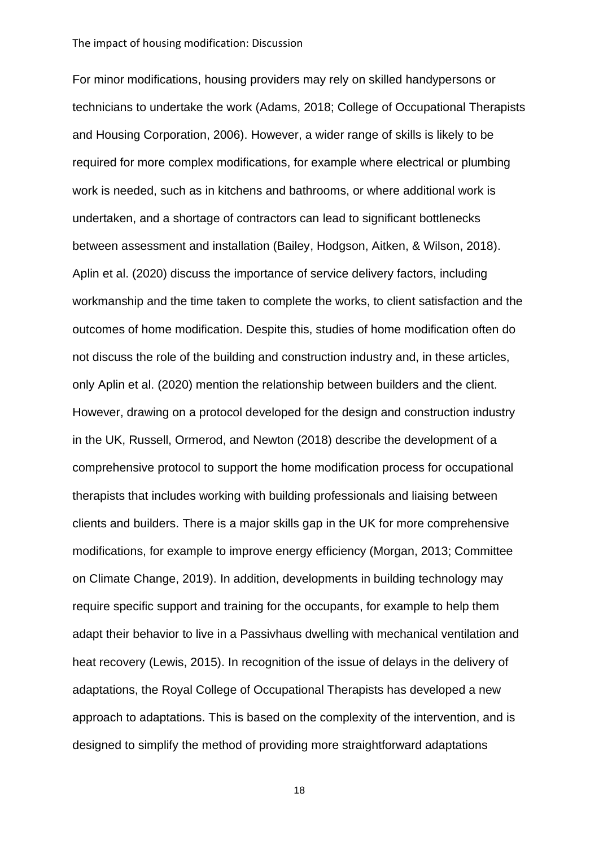For minor modifications, housing providers may rely on skilled handypersons or technicians to undertake the work (Adams, 2018; College of Occupational Therapists and Housing Corporation, 2006). However, a wider range of skills is likely to be required for more complex modifications, for example where electrical or plumbing work is needed, such as in kitchens and bathrooms, or where additional work is undertaken, and a shortage of contractors can lead to significant bottlenecks between assessment and installation (Bailey, Hodgson, Aitken, & Wilson, 2018). Aplin et al. (2020) discuss the importance of service delivery factors, including workmanship and the time taken to complete the works, to client satisfaction and the outcomes of home modification. Despite this, studies of home modification often do not discuss the role of the building and construction industry and, in these articles, only Aplin et al. (2020) mention the relationship between builders and the client. However, drawing on a protocol developed for the design and construction industry in the UK, Russell, Ormerod, and Newton (2018) describe the development of a comprehensive protocol to support the home modification process for occupational therapists that includes working with building professionals and liaising between clients and builders. There is a major skills gap in the UK for more comprehensive modifications, for example to improve energy efficiency (Morgan, 2013; Committee on Climate Change, 2019). In addition, developments in building technology may require specific support and training for the occupants, for example to help them adapt their behavior to live in a Passivhaus dwelling with mechanical ventilation and heat recovery (Lewis, 2015). In recognition of the issue of delays in the delivery of adaptations, the Royal College of Occupational Therapists has developed a new approach to adaptations. This is based on the complexity of the intervention, and is designed to simplify the method of providing more straightforward adaptations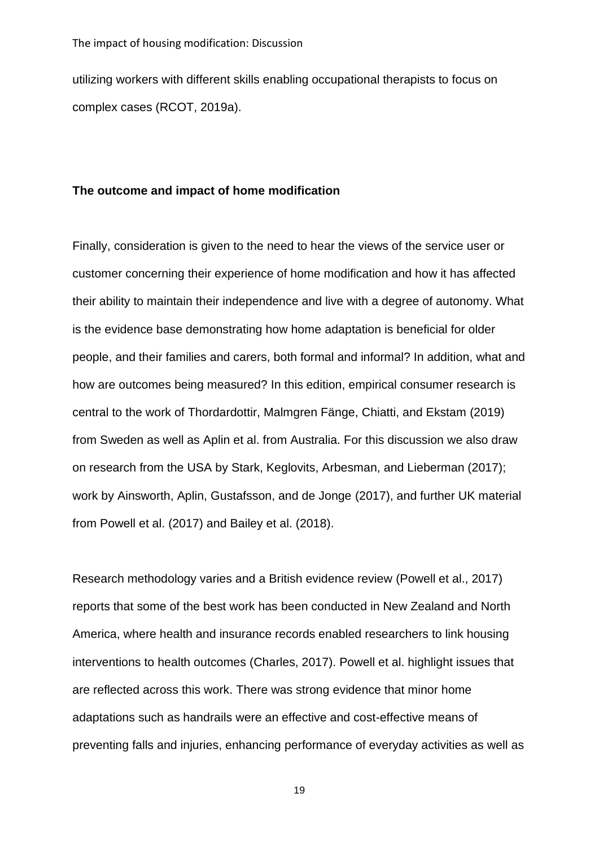utilizing workers with different skills enabling occupational therapists to focus on complex cases (RCOT, 2019a).

#### **The outcome and impact of home modification**

Finally, consideration is given to the need to hear the views of the service user or customer concerning their experience of home modification and how it has affected their ability to maintain their independence and live with a degree of autonomy. What is the evidence base demonstrating how home adaptation is beneficial for older people, and their families and carers, both formal and informal? In addition, what and how are outcomes being measured? In this edition, empirical consumer research is central to the work of Thordardottir, Malmgren Fänge, Chiatti, and Ekstam (2019) from Sweden as well as Aplin et al. from Australia. For this discussion we also draw on research from the USA by Stark, Keglovits, Arbesman, and Lieberman (2017); work by Ainsworth, Aplin, Gustafsson, and de Jonge (2017), and further UK material from Powell et al. (2017) and Bailey et al. (2018).

Research methodology varies and a British evidence review (Powell et al., 2017) reports that some of the best work has been conducted in New Zealand and North America, where health and insurance records enabled researchers to link housing interventions to health outcomes (Charles, 2017). Powell et al. highlight issues that are reflected across this work. There was strong evidence that minor home adaptations such as handrails were an effective and cost-effective means of preventing falls and injuries, enhancing performance of everyday activities as well as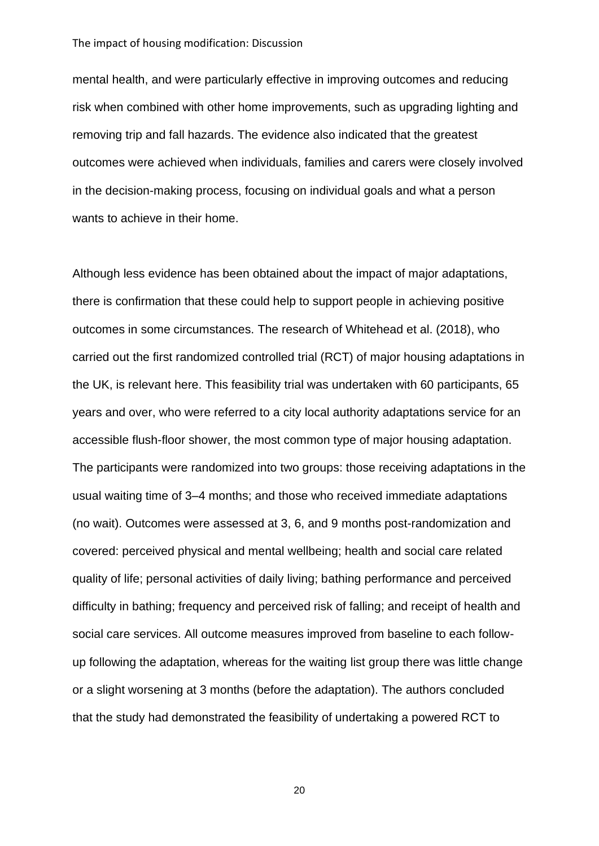mental health, and were particularly effective in improving outcomes and reducing risk when combined with other home improvements, such as upgrading lighting and removing trip and fall hazards. The evidence also indicated that the greatest outcomes were achieved when individuals, families and carers were closely involved in the decision-making process, focusing on individual goals and what a person wants to achieve in their home.

Although less evidence has been obtained about the impact of major adaptations, there is confirmation that these could help to support people in achieving positive outcomes in some circumstances. The research of Whitehead et al. (2018), who carried out the first randomized controlled trial (RCT) of major housing adaptations in the UK, is relevant here. This feasibility trial was undertaken with 60 participants, 65 years and over, who were referred to a city local authority adaptations service for an accessible flush-floor shower, the most common type of major housing adaptation. The participants were randomized into two groups: those receiving adaptations in the usual waiting time of 3–4 months; and those who received immediate adaptations (no wait). Outcomes were assessed at 3, 6, and 9 months post-randomization and covered: perceived physical and mental wellbeing; health and social care related quality of life; personal activities of daily living; bathing performance and perceived difficulty in bathing; frequency and perceived risk of falling; and receipt of health and social care services. All outcome measures improved from baseline to each followup following the adaptation, whereas for the waiting list group there was little change or a slight worsening at 3 months (before the adaptation). The authors concluded that the study had demonstrated the feasibility of undertaking a powered RCT to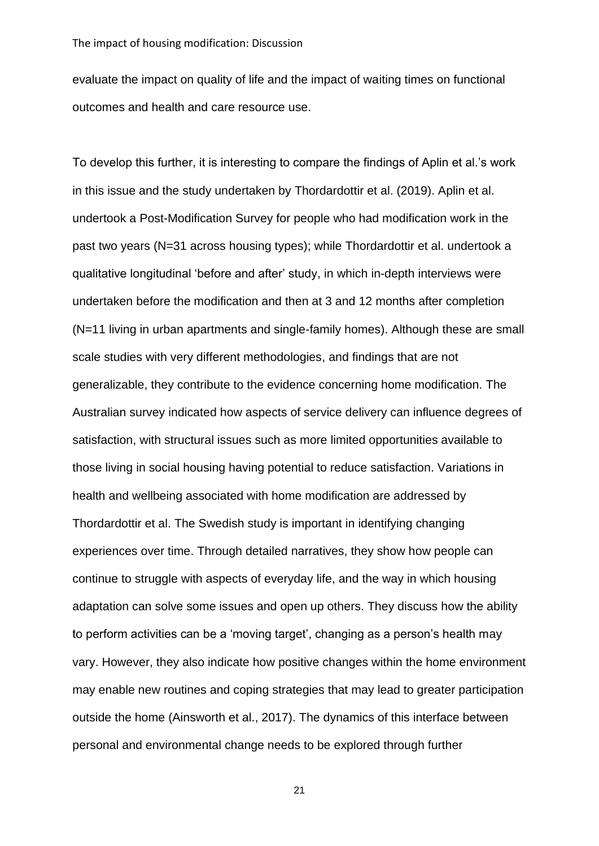evaluate the impact on quality of life and the impact of waiting times on functional outcomes and health and care resource use.

To develop this further, it is interesting to compare the findings of Aplin et al.'s work in this issue and the study undertaken by Thordardottir et al. (2019). Aplin et al. undertook a Post-Modification Survey for people who had modification work in the past two years (N=31 across housing types); while Thordardottir et al. undertook a qualitative longitudinal 'before and after' study, in which in-depth interviews were undertaken before the modification and then at 3 and 12 months after completion (N=11 living in urban apartments and single-family homes). Although these are small scale studies with very different methodologies, and findings that are not generalizable, they contribute to the evidence concerning home modification. The Australian survey indicated how aspects of service delivery can influence degrees of satisfaction, with structural issues such as more limited opportunities available to those living in social housing having potential to reduce satisfaction. Variations in health and wellbeing associated with home modification are addressed by Thordardottir et al. The Swedish study is important in identifying changing experiences over time. Through detailed narratives, they show how people can continue to struggle with aspects of everyday life, and the way in which housing adaptation can solve some issues and open up others. They discuss how the ability to perform activities can be a 'moving target', changing as a person's health may vary. However, they also indicate how positive changes within the home environment may enable new routines and coping strategies that may lead to greater participation outside the home (Ainsworth et al., 2017). The dynamics of this interface between personal and environmental change needs to be explored through further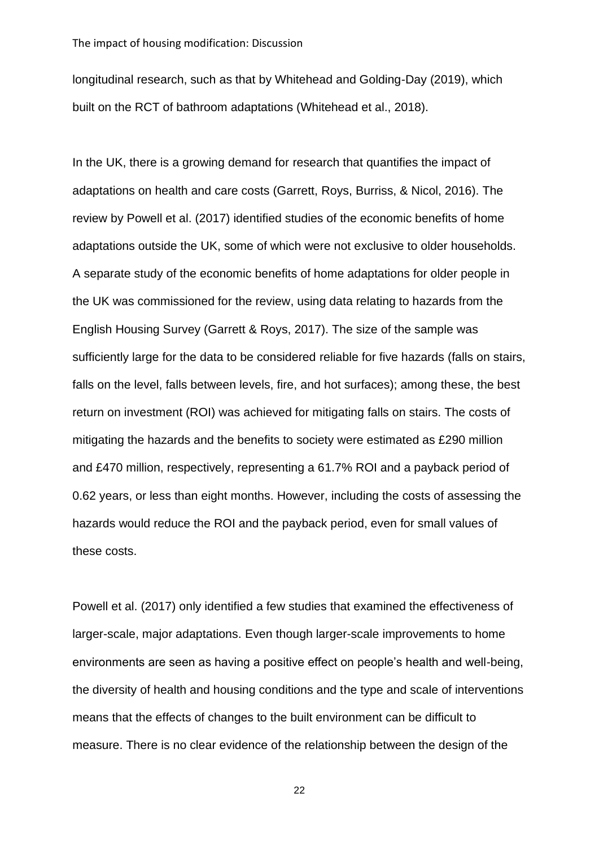longitudinal research, such as that by Whitehead and Golding-Day (2019), which built on the RCT of bathroom adaptations (Whitehead et al., 2018).

In the UK, there is a growing demand for research that quantifies the impact of adaptations on health and care costs (Garrett, Roys, Burriss, & Nicol, 2016). The review by Powell et al. (2017) identified studies of the economic benefits of home adaptations outside the UK, some of which were not exclusive to older households. A separate study of the economic benefits of home adaptations for older people in the UK was commissioned for the review, using data relating to hazards from the English Housing Survey (Garrett & Roys, 2017). The size of the sample was sufficiently large for the data to be considered reliable for five hazards (falls on stairs, falls on the level, falls between levels, fire, and hot surfaces); among these, the best return on investment (ROI) was achieved for mitigating falls on stairs. The costs of mitigating the hazards and the benefits to society were estimated as £290 million and £470 million, respectively, representing a 61.7% ROI and a payback period of 0.62 years, or less than eight months. However, including the costs of assessing the hazards would reduce the ROI and the payback period, even for small values of these costs.

Powell et al. (2017) only identified a few studies that examined the effectiveness of larger-scale, major adaptations. Even though larger-scale improvements to home environments are seen as having a positive effect on people's health and well-being, the diversity of health and housing conditions and the type and scale of interventions means that the effects of changes to the built environment can be difficult to measure. There is no clear evidence of the relationship between the design of the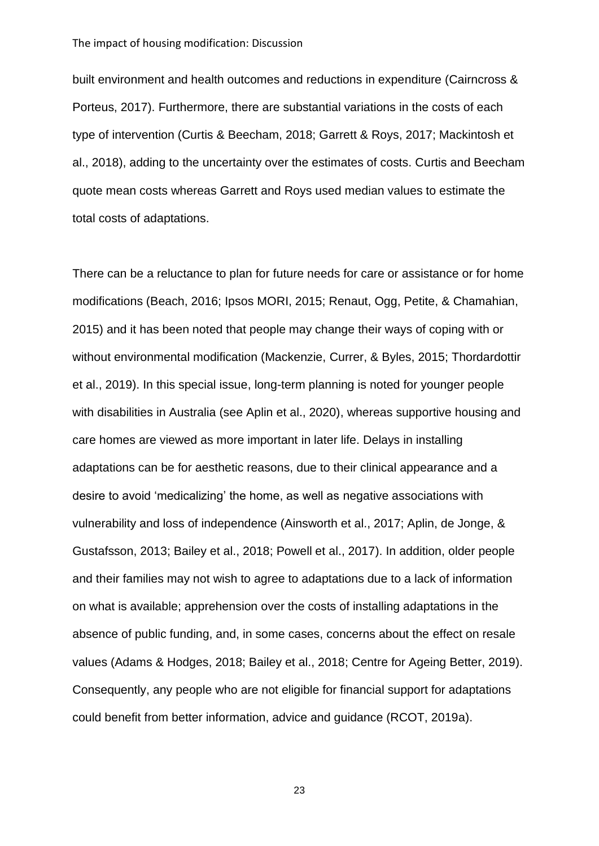built environment and health outcomes and reductions in expenditure (Cairncross & Porteus, 2017). Furthermore, there are substantial variations in the costs of each type of intervention (Curtis & Beecham, 2018; Garrett & Roys, 2017; Mackintosh et al., 2018), adding to the uncertainty over the estimates of costs. Curtis and Beecham quote mean costs whereas Garrett and Roys used median values to estimate the total costs of adaptations.

There can be a reluctance to plan for future needs for care or assistance or for home modifications (Beach, 2016; Ipsos MORI, 2015; Renaut, Ogg, Petite, & Chamahian, 2015) and it has been noted that people may change their ways of coping with or without environmental modification (Mackenzie, Currer, & Byles, 2015; Thordardottir et al., 2019). In this special issue, long-term planning is noted for younger people with disabilities in Australia (see Aplin et al., 2020), whereas supportive housing and care homes are viewed as more important in later life. Delays in installing adaptations can be for aesthetic reasons, due to their clinical appearance and a desire to avoid 'medicalizing' the home, as well as negative associations with vulnerability and loss of independence (Ainsworth et al., 2017; Aplin, de Jonge, & Gustafsson, 2013; Bailey et al., 2018; Powell et al., 2017). In addition, older people and their families may not wish to agree to adaptations due to a lack of information on what is available; apprehension over the costs of installing adaptations in the absence of public funding, and, in some cases, concerns about the effect on resale values (Adams & Hodges, 2018; Bailey et al., 2018; Centre for Ageing Better, 2019). Consequently, any people who are not eligible for financial support for adaptations could benefit from better information, advice and guidance (RCOT, 2019a).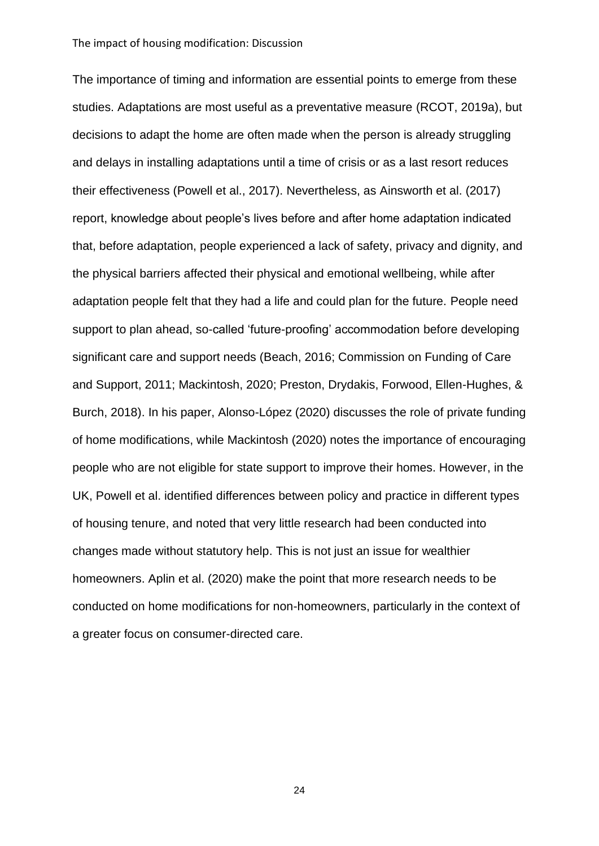The importance of timing and information are essential points to emerge from these studies. Adaptations are most useful as a preventative measure (RCOT, 2019a), but decisions to adapt the home are often made when the person is already struggling and delays in installing adaptations until a time of crisis or as a last resort reduces their effectiveness (Powell et al., 2017). Nevertheless, as Ainsworth et al. (2017) report, knowledge about people's lives before and after home adaptation indicated that, before adaptation, people experienced a lack of safety, privacy and dignity, and the physical barriers affected their physical and emotional wellbeing, while after adaptation people felt that they had a life and could plan for the future. People need support to plan ahead, so-called 'future-proofing' accommodation before developing significant care and support needs (Beach, 2016; Commission on Funding of Care and Support, 2011; Mackintosh, 2020; Preston, Drydakis, Forwood, Ellen-Hughes, & Burch, 2018). In his paper, Alonso-López (2020) discusses the role of private funding of home modifications, while Mackintosh (2020) notes the importance of encouraging people who are not eligible for state support to improve their homes. However, in the UK, Powell et al. identified differences between policy and practice in different types of housing tenure, and noted that very little research had been conducted into changes made without statutory help. This is not just an issue for wealthier homeowners. Aplin et al. (2020) make the point that more research needs to be conducted on home modifications for non-homeowners, particularly in the context of a greater focus on consumer-directed care.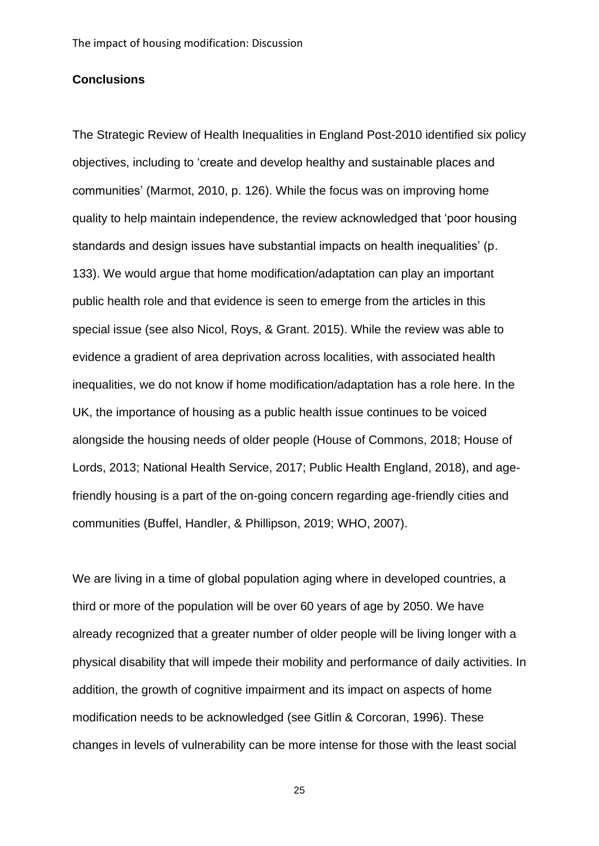#### **Conclusions**

The Strategic Review of Health Inequalities in England Post-2010 identified six policy objectives, including to 'create and develop healthy and sustainable places and communities' (Marmot, 2010, p. 126). While the focus was on improving home quality to help maintain independence, the review acknowledged that 'poor housing standards and design issues have substantial impacts on health inequalities' (p. 133). We would argue that home modification/adaptation can play an important public health role and that evidence is seen to emerge from the articles in this special issue (see also Nicol, Roys, & Grant. 2015). While the review was able to evidence a gradient of area deprivation across localities, with associated health inequalities, we do not know if home modification/adaptation has a role here. In the UK, the importance of housing as a public health issue continues to be voiced alongside the housing needs of older people (House of Commons, 2018; House of Lords, 2013; National Health Service, 2017; Public Health England, 2018), and agefriendly housing is a part of the on-going concern regarding age-friendly cities and communities (Buffel, Handler, & Phillipson, 2019; WHO, 2007).

We are living in a time of global population aging where in developed countries, a third or more of the population will be over 60 years of age by 2050. We have already recognized that a greater number of older people will be living longer with a physical disability that will impede their mobility and performance of daily activities. In addition, the growth of cognitive impairment and its impact on aspects of home modification needs to be acknowledged (see Gitlin & Corcoran, 1996). These changes in levels of vulnerability can be more intense for those with the least social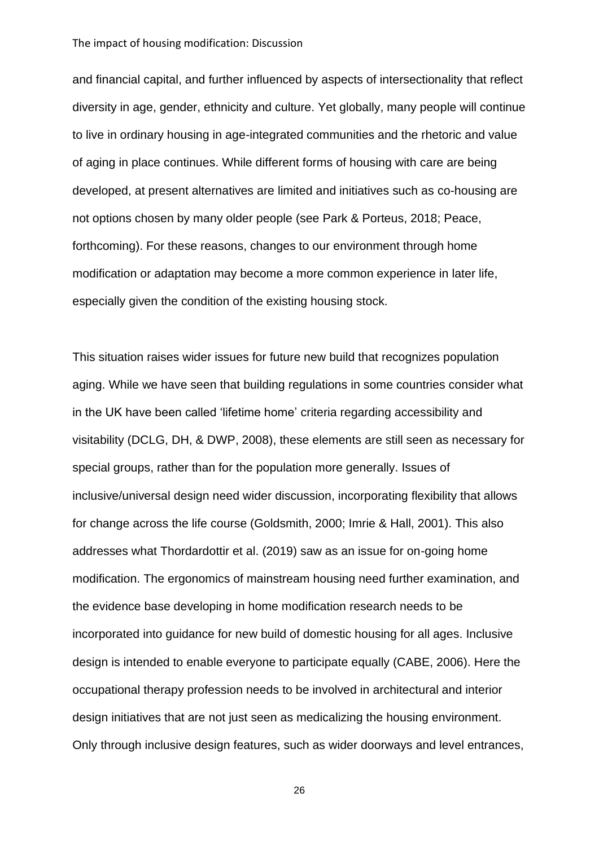and financial capital, and further influenced by aspects of intersectionality that reflect diversity in age, gender, ethnicity and culture. Yet globally, many people will continue to live in ordinary housing in age-integrated communities and the rhetoric and value of aging in place continues. While different forms of housing with care are being developed, at present alternatives are limited and initiatives such as co-housing are not options chosen by many older people (see Park & Porteus, 2018; Peace, forthcoming). For these reasons, changes to our environment through home modification or adaptation may become a more common experience in later life, especially given the condition of the existing housing stock.

This situation raises wider issues for future new build that recognizes population aging. While we have seen that building regulations in some countries consider what in the UK have been called 'lifetime home' criteria regarding accessibility and visitability (DCLG, DH, & DWP, 2008), these elements are still seen as necessary for special groups, rather than for the population more generally. Issues of inclusive/universal design need wider discussion, incorporating flexibility that allows for change across the life course (Goldsmith, 2000; Imrie & Hall, 2001). This also addresses what Thordardottir et al. (2019) saw as an issue for on-going home modification. The ergonomics of mainstream housing need further examination, and the evidence base developing in home modification research needs to be incorporated into guidance for new build of domestic housing for all ages. Inclusive design is intended to enable everyone to participate equally (CABE, 2006). Here the occupational therapy profession needs to be involved in architectural and interior design initiatives that are not just seen as medicalizing the housing environment. Only through inclusive design features, such as wider doorways and level entrances,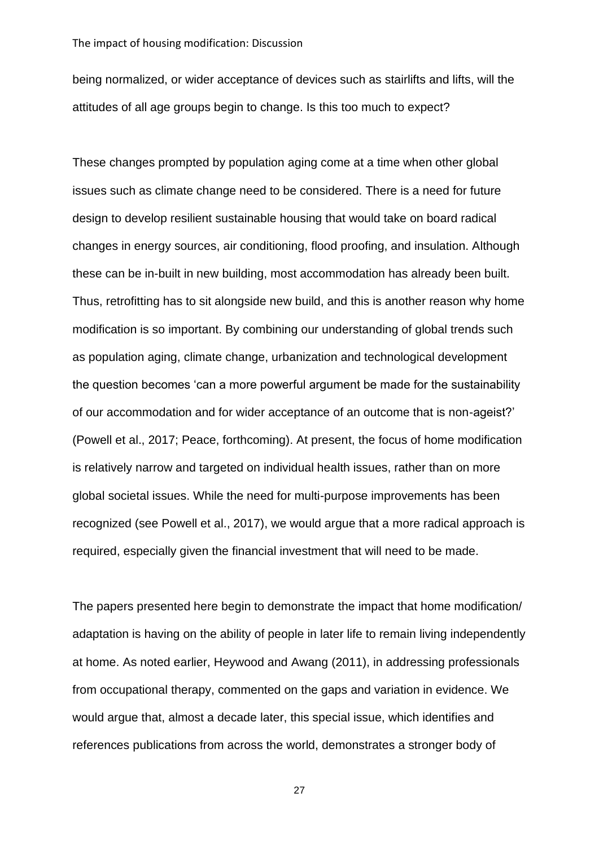being normalized, or wider acceptance of devices such as stairlifts and lifts, will the attitudes of all age groups begin to change. Is this too much to expect?

These changes prompted by population aging come at a time when other global issues such as climate change need to be considered. There is a need for future design to develop resilient sustainable housing that would take on board radical changes in energy sources, air conditioning, flood proofing, and insulation. Although these can be in-built in new building, most accommodation has already been built. Thus, retrofitting has to sit alongside new build, and this is another reason why home modification is so important. By combining our understanding of global trends such as population aging, climate change, urbanization and technological development the question becomes 'can a more powerful argument be made for the sustainability of our accommodation and for wider acceptance of an outcome that is non-ageist?' (Powell et al., 2017; Peace, forthcoming). At present, the focus of home modification is relatively narrow and targeted on individual health issues, rather than on more global societal issues. While the need for multi-purpose improvements has been recognized (see Powell et al., 2017), we would argue that a more radical approach is required, especially given the financial investment that will need to be made.

The papers presented here begin to demonstrate the impact that home modification/ adaptation is having on the ability of people in later life to remain living independently at home. As noted earlier, Heywood and Awang (2011), in addressing professionals from occupational therapy, commented on the gaps and variation in evidence. We would argue that, almost a decade later, this special issue, which identifies and references publications from across the world, demonstrates a stronger body of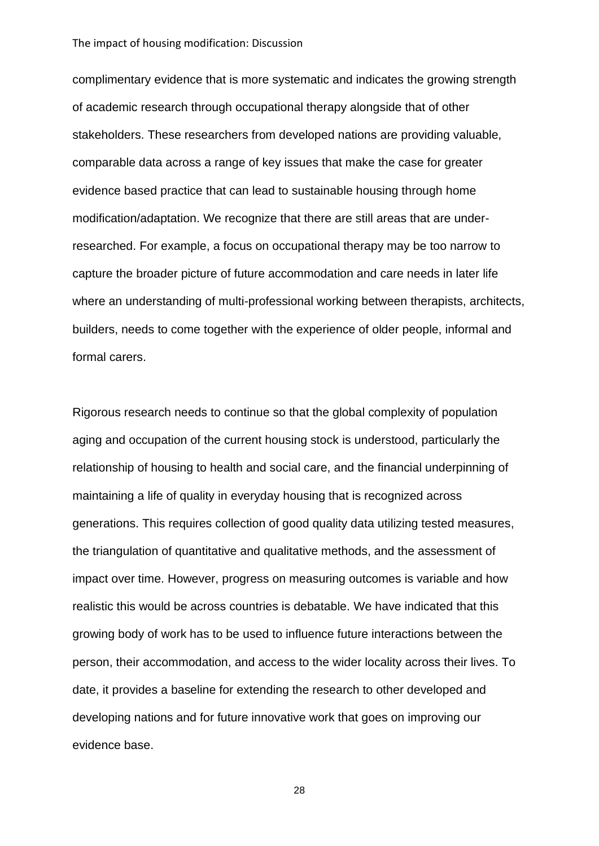complimentary evidence that is more systematic and indicates the growing strength of academic research through occupational therapy alongside that of other stakeholders. These researchers from developed nations are providing valuable, comparable data across a range of key issues that make the case for greater evidence based practice that can lead to sustainable housing through home modification/adaptation. We recognize that there are still areas that are underresearched. For example, a focus on occupational therapy may be too narrow to capture the broader picture of future accommodation and care needs in later life where an understanding of multi-professional working between therapists, architects, builders, needs to come together with the experience of older people, informal and formal carers.

Rigorous research needs to continue so that the global complexity of population aging and occupation of the current housing stock is understood, particularly the relationship of housing to health and social care, and the financial underpinning of maintaining a life of quality in everyday housing that is recognized across generations. This requires collection of good quality data utilizing tested measures, the triangulation of quantitative and qualitative methods, and the assessment of impact over time. However, progress on measuring outcomes is variable and how realistic this would be across countries is debatable. We have indicated that this growing body of work has to be used to influence future interactions between the person, their accommodation, and access to the wider locality across their lives. To date, it provides a baseline for extending the research to other developed and developing nations and for future innovative work that goes on improving our evidence base.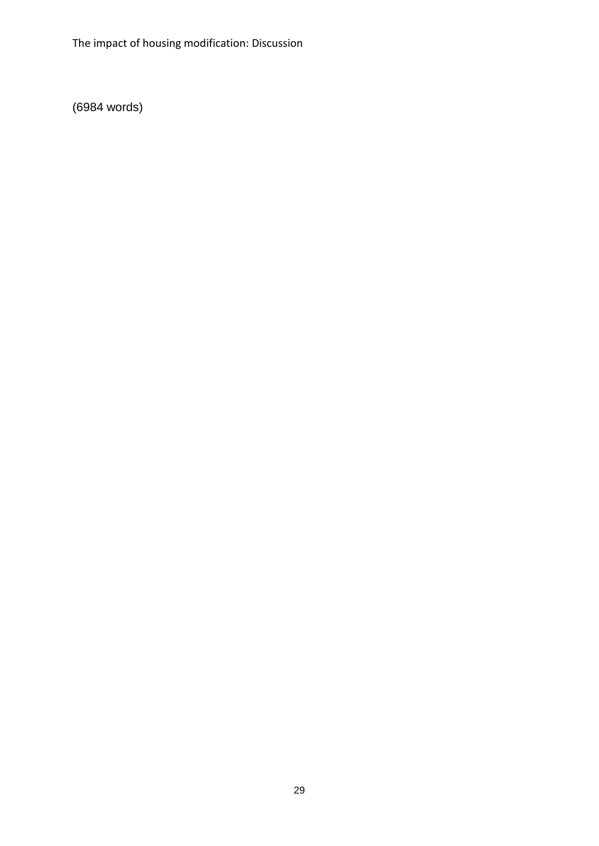(6984 words)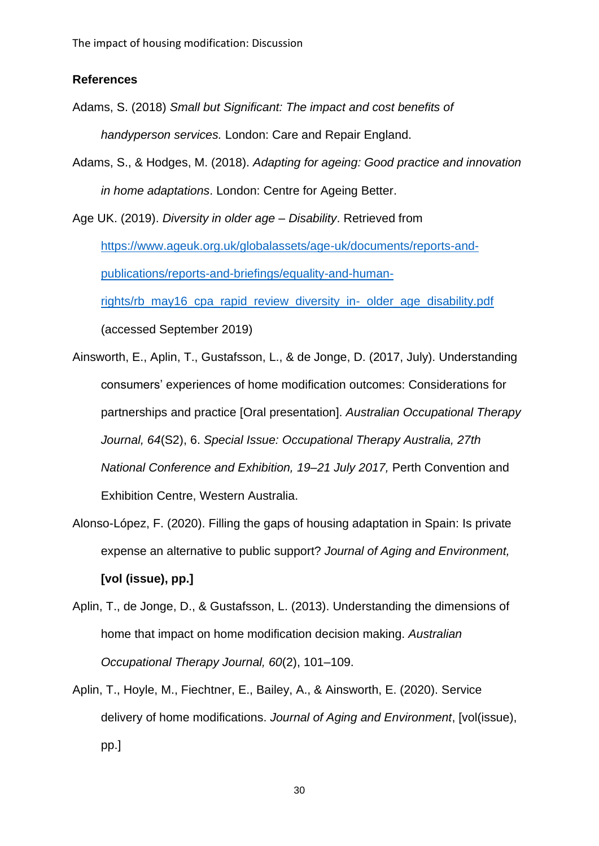#### **References**

- Adams, S. (2018) *Small but Significant: The impact and cost benefits of handyperson services.* London: Care and Repair England.
- Adams, S., & Hodges, M. (2018). *Adapting for ageing: Good practice and innovation in home adaptations*. London: Centre for Ageing Better.

Age UK. (2019). *Diversity in older age – Disability*. Retrieved from [https://www.ageuk.org.uk/globalassets/age-uk/documents/reports-and](https://www.ageuk.org.uk/globalassets/age-uk/documents/reports-and-publications/reports-and-briefings/equality-and-human-rights/rb_may16_cpa_rapid_review_diversity_in-_older_age_disability.pdf)[publications/reports-and-briefings/equality-and-human](https://www.ageuk.org.uk/globalassets/age-uk/documents/reports-and-publications/reports-and-briefings/equality-and-human-rights/rb_may16_cpa_rapid_review_diversity_in-_older_age_disability.pdf)[rights/rb\\_may16\\_cpa\\_rapid\\_review\\_diversity\\_in-\\_older\\_age\\_disability.pdf](https://www.ageuk.org.uk/globalassets/age-uk/documents/reports-and-publications/reports-and-briefings/equality-and-human-rights/rb_may16_cpa_rapid_review_diversity_in-_older_age_disability.pdf) (accessed September 2019)

- Ainsworth, E., Aplin, T., Gustafsson, L., & de Jonge, D. (2017, July). Understanding consumers' experiences of home modification outcomes: Considerations for partnerships and practice [Oral presentation]. *Australian Occupational Therapy Journal, 64*(S2), 6. *Special Issue: Occupational Therapy Australia, 27th National Conference and Exhibition, 19–21 July 2017,* Perth Convention and Exhibition Centre, Western Australia.
- Alonso-López, F. (2020). Filling the gaps of housing adaptation in Spain: Is private expense an alternative to public support? *Journal of Aging and Environment,* **[vol (issue), pp.]**
- Aplin, T., de Jonge, D., & Gustafsson, L. (2013). Understanding the dimensions of home that impact on home modification decision making. *Australian Occupational Therapy Journal, 60*(2), 101–109.
- Aplin, T., Hoyle, M., Fiechtner, E., Bailey, A., & Ainsworth, E. (2020). Service delivery of home modifications. *Journal of Aging and Environment*, [vol(issue), pp.]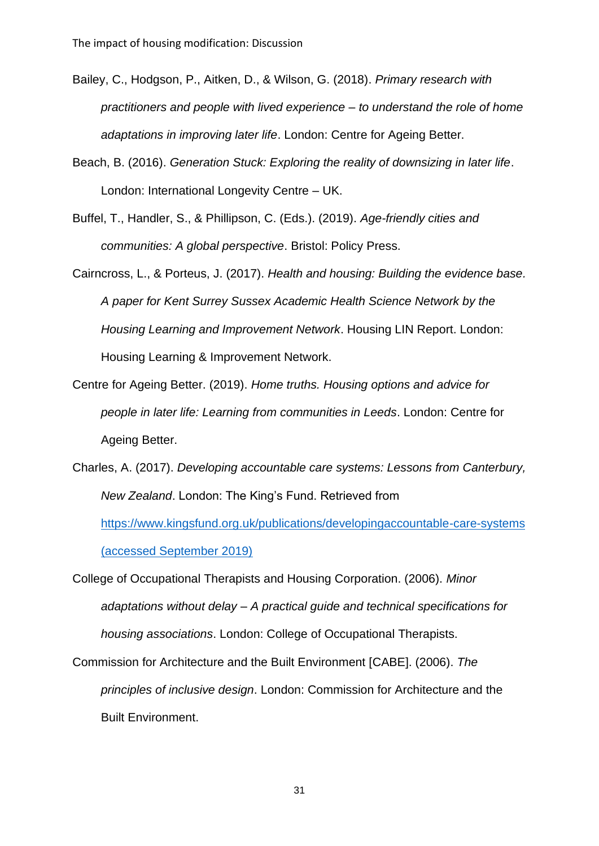- Bailey, C., Hodgson, P., Aitken, D., & Wilson, G. (2018). *Primary research with practitioners and people with lived experience – to understand the role of home adaptations in improving later life*. London: Centre for Ageing Better.
- Beach, B. (2016). *Generation Stuck: Exploring the reality of downsizing in later life*. London: International Longevity Centre – UK.
- Buffel, T., Handler, S., & Phillipson, C. (Eds.). (2019). *Age-friendly cities and communities: A global perspective*. Bristol: Policy Press.
- Cairncross, L., & Porteus, J. (2017). *Health and housing: Building the evidence base. A paper for Kent Surrey Sussex Academic Health Science Network by the Housing Learning and Improvement Network*. Housing LIN Report. London: Housing Learning & Improvement Network.
- Centre for Ageing Better. (2019). *Home truths. Housing options and advice for people in later life: Learning from communities in Leeds*. London: Centre for Ageing Better.
- Charles, A. (2017). *Developing accountable care systems: Lessons from Canterbury, New Zealand*. London: The King's Fund. Retrieved from <https://www.kingsfund.org.uk/publications/developingaccountable-care-systems>

(accessed September 2019)

College of Occupational Therapists and Housing Corporation. (2006). *Minor adaptations without delay – A practical guide and technical specifications for housing associations*. London: College of Occupational Therapists.

Commission for Architecture and the Built Environment [CABE]. (2006). *The principles of inclusive design*. London: Commission for Architecture and the Built Environment.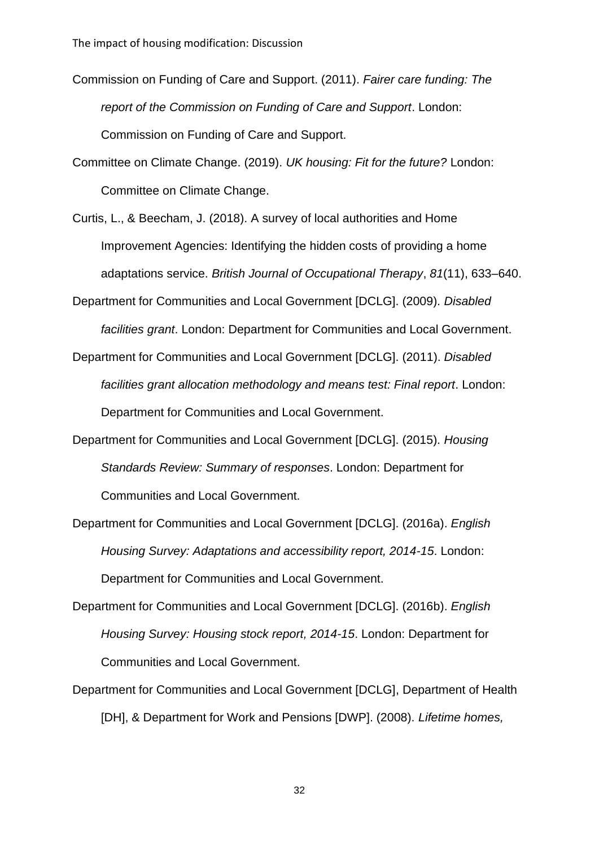Commission on Funding of Care and Support. (2011). *Fairer care funding: The report of the Commission on Funding of Care and Support*. London: Commission on Funding of Care and Support.

Committee on Climate Change. (2019). *UK housing: Fit for the future?* London: Committee on Climate Change.

Curtis, L., & Beecham, J. (2018). A survey of local authorities and Home Improvement Agencies: Identifying the hidden costs of providing a home adaptations service. *British Journal of Occupational Therapy*, *81*(11), 633–640.

Department for Communities and Local Government [DCLG]. (2009). *Disabled facilities grant*. London: Department for Communities and Local Government.

Department for Communities and Local Government [DCLG]. (2011). *Disabled facilities grant allocation methodology and means test: Final report*. London: Department for Communities and Local Government.

- Department for Communities and Local Government [DCLG]. (2015). *Housing Standards Review: Summary of responses*. London: Department for Communities and Local Government.
- Department for Communities and Local Government [DCLG]. (2016a). *English Housing Survey: Adaptations and accessibility report, 2014-15*. London: Department for Communities and Local Government.
- Department for Communities and Local Government [DCLG]. (2016b). *English Housing Survey: Housing stock report, 2014-15*. London: Department for Communities and Local Government.
- Department for Communities and Local Government [DCLG], Department of Health [DH], & Department for Work and Pensions [DWP]. (2008). *Lifetime homes,*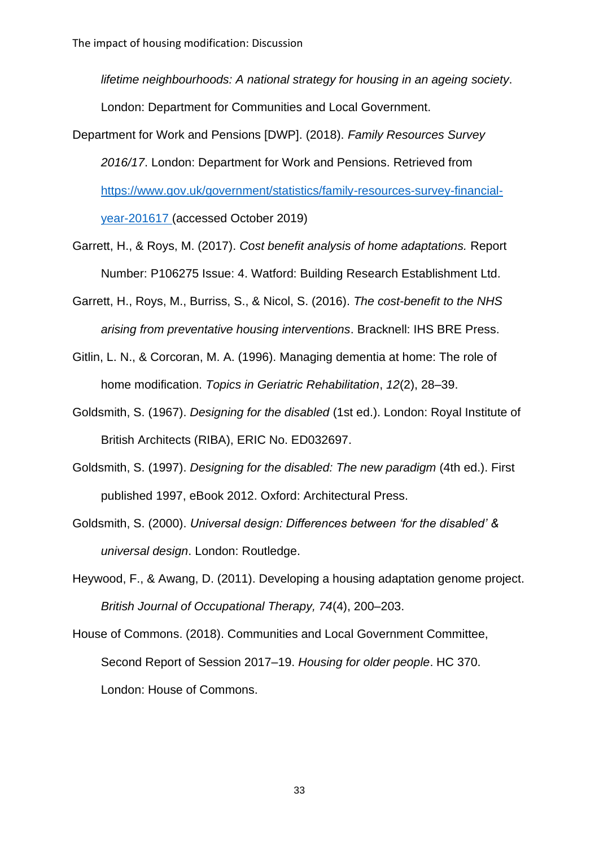*lifetime neighbourhoods: A national strategy for housing in an ageing society*. London: Department for Communities and Local Government.

- Department for Work and Pensions [DWP]. (2018). *Family Resources Survey 2016/17*. London: Department for Work and Pensions. Retrieved from [https://www.gov.uk/government/statistics/family-resources-survey-financial](https://www.gov.uk/government/statistics/family-resources-survey-financial-year-201617)[year-201617](https://www.gov.uk/government/statistics/family-resources-survey-financial-year-201617) (accessed October 2019)
- Garrett, H., & Roys, M. (2017). *Cost benefit analysis of home adaptations.* Report Number: P106275 Issue: 4. Watford: Building Research Establishment Ltd.
- Garrett, H., Roys, M., Burriss, S., & Nicol, S. (2016). *The cost-benefit to the NHS arising from preventative housing interventions*. Bracknell: IHS BRE Press.
- Gitlin, L. N., & Corcoran, M. A. (1996). Managing dementia at home: The role of home modification. *Topics in Geriatric Rehabilitation*, *12*(2), 28–39.
- Goldsmith, S. (1967). *Designing for the disabled* (1st ed.). London: Royal Institute of British Architects (RIBA), ERIC No. ED032697.
- Goldsmith, S. (1997). *Designing for the disabled: The new paradigm* (4th ed.). First published 1997, eBook 2012. Oxford: Architectural Press.
- Goldsmith, S. (2000). *Universal design: Differences between 'for the disabled' & universal design*. London: Routledge.
- Heywood, F., & Awang, D. (2011). Developing a housing adaptation genome project. *British Journal of Occupational Therapy, 74*(4), 200–203.
- House of Commons. (2018). Communities and Local Government Committee, Second Report of Session 2017–19. *Housing for older people*. HC 370. London: House of Commons.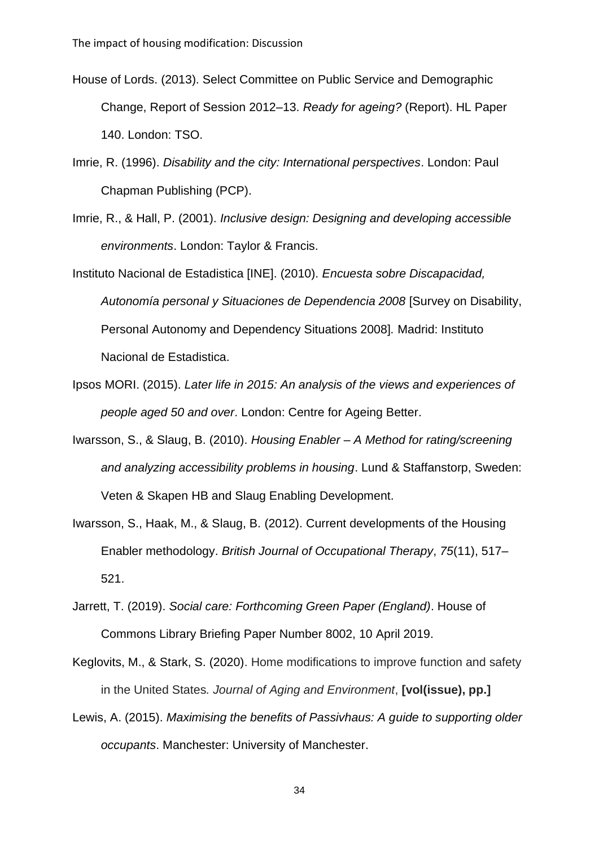- House of Lords. (2013). Select Committee on Public Service and Demographic Change, Report of Session 2012–13. *Ready for ageing?* (Report). HL Paper 140. London: TSO.
- Imrie, R. (1996). *Disability and the city: International perspectives*. London: Paul Chapman Publishing (PCP).
- Imrie, R., & Hall, P. (2001). *Inclusive design: Designing and developing accessible environments*. London: Taylor & Francis.
- Instituto Nacional de Estadistica [INE]. (2010). *Encuesta sobre Discapacidad, Autonomía personal y Situaciones de Dependencia 2008* [Survey on Disability, Personal Autonomy and Dependency Situations 2008]*.* Madrid: Instituto Nacional de Estadistica.
- Ipsos MORI. (2015). *Later life in 2015: An analysis of the views and experiences of people aged 50 and over*. London: Centre for Ageing Better.
- Iwarsson, S., & Slaug, B. (2010). *Housing Enabler – A Method for rating/screening and analyzing accessibility problems in housing*. Lund & Staffanstorp, Sweden: Veten & Skapen HB and Slaug Enabling Development.
- Iwarsson, S., Haak, M., & Slaug, B. (2012). Current developments of the Housing Enabler methodology. *British Journal of Occupational Therapy*, *75*(11), 517– 521.
- Jarrett, T. (2019). *Social care: Forthcoming Green Paper (England)*. House of Commons Library Briefing Paper Number 8002, 10 April 2019.
- Keglovits, M., & Stark, S. (2020). Home modifications to improve function and safety in the United States*. Journal of Aging and Environment*, **[vol(issue), pp.]**
- Lewis, A. (2015). *Maximising the benefits of Passivhaus: A guide to supporting older occupants*. Manchester: University of Manchester.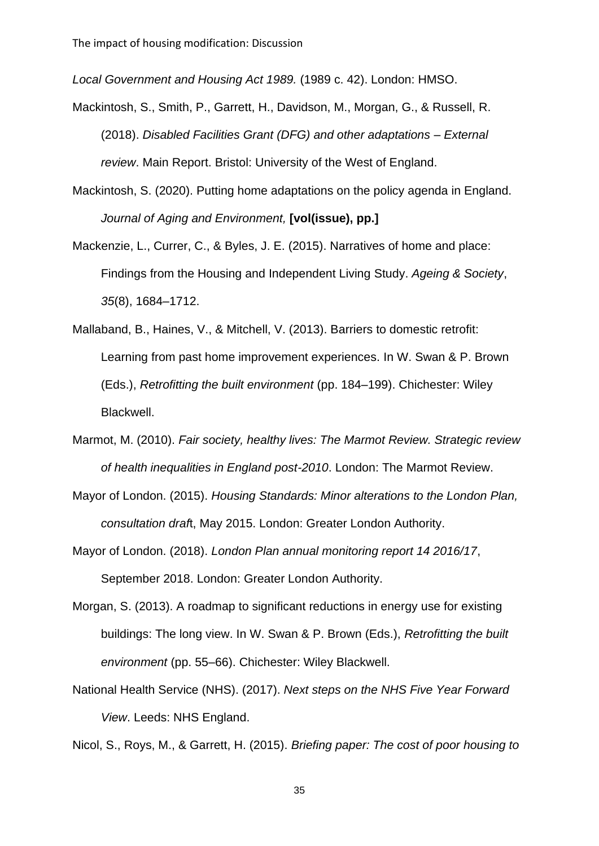*Local Government and Housing Act 1989.* (1989 c. 42). London: HMSO.

- Mackintosh, S., Smith, P., Garrett, H., Davidson, M., Morgan, G., & Russell, R. (2018). *Disabled Facilities Grant (DFG) and other adaptations – External review*. Main Report. Bristol: University of the West of England.
- Mackintosh, S. (2020). Putting home adaptations on the policy agenda in England. *Journal of Aging and Environment,* **[vol(issue), pp.]**
- Mackenzie, L., Currer, C., & Byles, J. E. (2015). Narratives of home and place: Findings from the Housing and Independent Living Study. *Ageing & Society*, *35*(8), 1684–1712.
- Mallaband, B., Haines, V., & Mitchell, V. (2013). Barriers to domestic retrofit: Learning from past home improvement experiences. In W. Swan & P. Brown (Eds.), *Retrofitting the built environment* (pp. 184–199). Chichester: Wiley Blackwell.
- Marmot, M. (2010). *Fair society, healthy lives: The Marmot Review. Strategic review of health inequalities in England post-2010*. London: The Marmot Review.
- Mayor of London. (2015). *Housing Standards: Minor alterations to the London Plan, consultation draf*t, May 2015. London: Greater London Authority.
- Mayor of London. (2018). *London Plan annual monitoring report 14 2016/17*, September 2018. London: Greater London Authority.
- Morgan, S. (2013). A roadmap to significant reductions in energy use for existing buildings: The long view. In W. Swan & P. Brown (Eds.), *Retrofitting the built environment* (pp. 55–66). Chichester: Wiley Blackwell.
- National Health Service (NHS). (2017). *Next steps on the NHS Five Year Forward View*. Leeds: NHS England.

Nicol, S., Roys, M., & Garrett, H. (2015). *Briefing paper: The cost of poor housing to*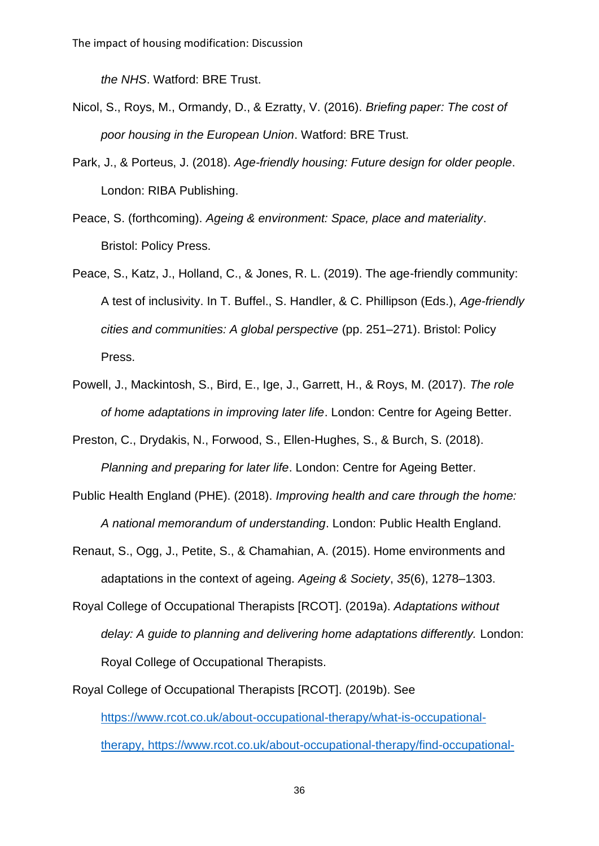*the NHS*. Watford: BRE Trust.

- Nicol, S., Roys, M., Ormandy, D., & Ezratty, V. (2016). *Briefing paper: The cost of poor housing in the European Union*. Watford: BRE Trust.
- Park, J., & Porteus, J. (2018). *Age-friendly housing: Future design for older people*. London: RIBA Publishing.
- Peace, S. (forthcoming). *Ageing & environment: Space, place and materiality*. Bristol: Policy Press.
- Peace, S., Katz, J., Holland, C., & Jones, R. L. (2019). The age-friendly community: A test of inclusivity. In T. Buffel., S. Handler, & C. Phillipson (Eds.), *Age-friendly cities and communities: A global perspective* (pp. 251–271). Bristol: Policy Press.
- Powell, J., Mackintosh, S., Bird, E., Ige, J., Garrett, H., & Roys, M. (2017). *The role of home adaptations in improving later life*. London: Centre for Ageing Better.

Preston, C., Drydakis, N., Forwood, S., Ellen-Hughes, S., & Burch, S. (2018). *Planning and preparing for later life*. London: Centre for Ageing Better.

- Public Health England (PHE). (2018). *Improving health and care through the home: A national memorandum of understanding*. London: Public Health England.
- Renaut, S., Ogg, J., Petite, S., & Chamahian, A. (2015). Home environments and adaptations in the context of ageing. *Ageing & Society*, *35*(6), 1278–1303.
- Royal College of Occupational Therapists [RCOT]. (2019a). *Adaptations without delay: A guide to planning and delivering home adaptations differently.* London: Royal College of Occupational Therapists.
- Royal College of Occupational Therapists [RCOT]. (2019b). See [https://www.rcot.co.uk/about-occupational-therapy/what-is-occupational](https://www.rcot.co.uk/about-occupational-therapy/what-is-occupational-therapy)[therapy,](https://www.rcot.co.uk/about-occupational-therapy/what-is-occupational-therapy) [https://www.rcot.co.uk/about-occupational-therapy/find-occupational-](https://www.rcot.co.uk/about-occupational-therapy/find-occupational-therapist)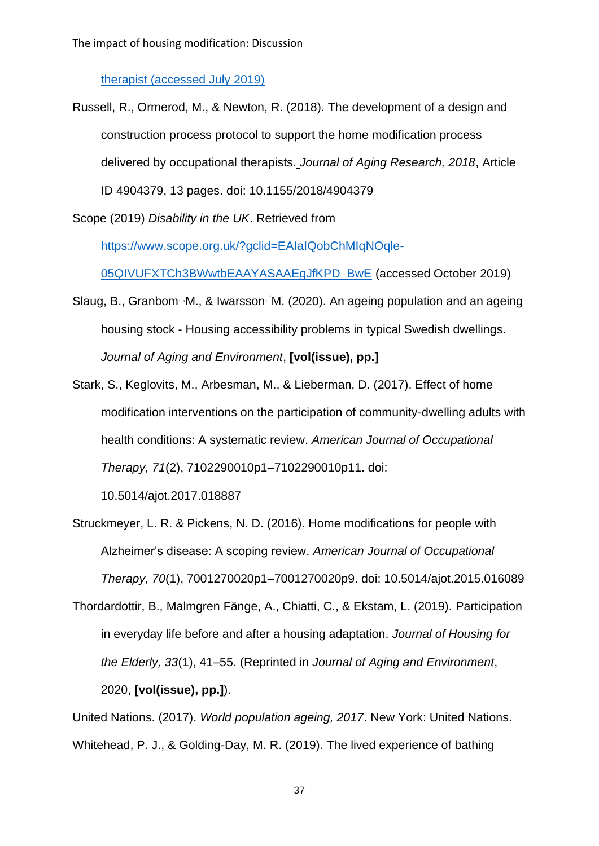#### [therapist](https://www.rcot.co.uk/about-occupational-therapy/find-occupational-therapist) (accessed July 2019)

Russell, R., Ormerod, M., & Newton, R. (2018). The development of a design and construction process protocol to support the home modification process delivered by occupational therapists. *Journal of Aging Research, 2018*, Article ID 4904379, 13 pages. doi: 10.1155/2018/4904379

Scope (2019) *Disability in the UK*. Retrieved from

[https://www.scope.org.uk/?gclid=EAIaIQobChMIqNOqle-](https://www.scope.org.uk/?gclid=EAIaIQobChMIqNOqle-05QIVUFXTCh3BWwtbEAAYASAAEgJfKPD_BwE)

[05QIVUFXTCh3BWwtbEAAYASAAEgJfKPD\\_BwE](https://www.scope.org.uk/?gclid=EAIaIQobChMIqNOqle-05QIVUFXTCh3BWwtbEAAYASAAEgJfKPD_BwE) (accessed October 2019)

- Slaug, B., Granbom, M., & Iwarsson, M. (2020). An ageing population and an ageing housing stock - Housing accessibility problems in typical Swedish dwellings. *Journal of Aging and Environment*, **[vol(issue), pp.]**
- Stark, S., Keglovits, M., Arbesman, M., & Lieberman, D. (2017). Effect of home modification interventions on the participation of community-dwelling adults with health conditions: A systematic review. *American Journal of Occupational Therapy, 71*(2), 7102290010p1–7102290010p11. doi: 10.5014/ajot.2017.018887
- Struckmeyer, L. R. & Pickens, N. D. (2016). Home modifications for people with Alzheimer's disease: A scoping review. *American Journal of Occupational Therapy, 70*(1), 7001270020p1–7001270020p9. doi: 10.5014/ajot.2015.016089
- Thordardottir, B., Malmgren Fänge, A., Chiatti, C., & Ekstam, L. (2019). Participation in everyday life before and after a housing adaptation. *Journal of Housing for the Elderly, 33*(1), 41–55. (Reprinted in *Journal of Aging and Environment*, 2020, **[vol(issue), pp.]**).

United Nations. (2017). *World population ageing, 2017*. New York: United Nations. Whitehead, P. J., & Golding-Day, M. R. (2019). The lived experience of bathing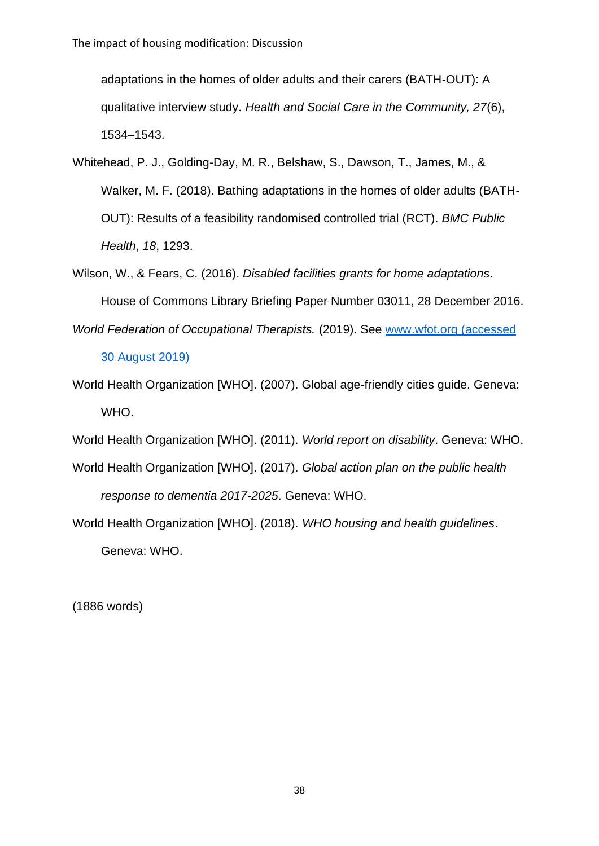adaptations in the homes of older adults and their carers (BATH-OUT): A qualitative interview study. *Health and Social Care in the Community, 27*(6), 1534–1543.

- Whitehead, P. J., Golding-Day, M. R., Belshaw, S., Dawson, T., James, M., & Walker, M. F. (2018). Bathing adaptations in the homes of older adults (BATH-OUT): Results of a feasibility randomised controlled trial (RCT). *BMC Public Health*, *18*, 1293.
- Wilson, W., & Fears, C. (2016). *Disabled facilities grants for home adaptations*. House of Commons Library Briefing Paper Number 03011, 28 December 2016.
- *World Federation of Occupational Therapists.* (2019). See [www.wfot.org](http://www.wfot.org/) (accessed 30 August 2019)
- World Health Organization [WHO]. (2007). Global age-friendly cities guide. Geneva: WHO.

World Health Organization [WHO]. (2011). *World report on disability*. Geneva: WHO.

- World Health Organization [WHO]. (2017). *Global action plan on the public health response to dementia 2017-2025*. Geneva: WHO.
- World Health Organization [WHO]. (2018). *WHO housing and health guidelines*. Geneva: WHO.

(1886 words)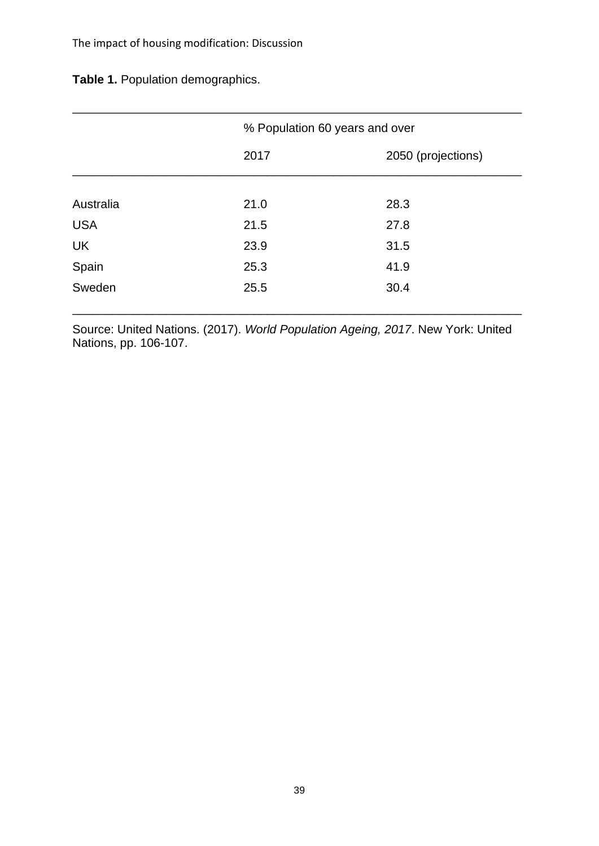**Table 1.** Population demographics.

|            | % Population 60 years and over |                    |
|------------|--------------------------------|--------------------|
|            | 2017                           | 2050 (projections) |
|            |                                |                    |
| Australia  | 21.0                           | 28.3               |
| <b>USA</b> | 21.5                           | 27.8               |
| UK         | 23.9                           | 31.5               |
| Spain      | 25.3                           | 41.9               |
| Sweden     | 25.5                           | 30.4               |
|            |                                |                    |

Source: United Nations. (2017). *World Population Ageing, 2017*. New York: United Nations, pp. 106-107.